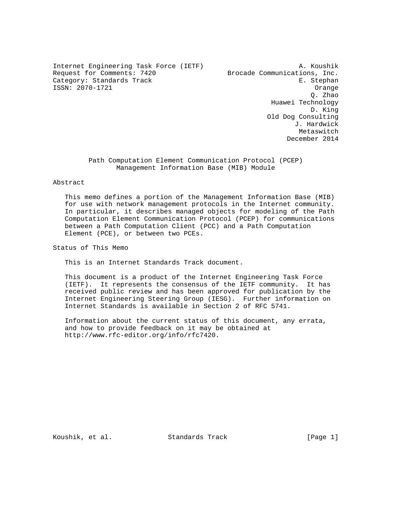Internet Engineering Task Force (IETF) A. Koushik Request for Comments: 7420 Brocade Communications, Inc. Category: Standards Track expansion of the Category: Stephan ISSN: 2070-1721 Orange

 Q. Zhao Huawei Technology D. King Old Dog Consulting J. Hardwick Metaswitch December 2014

> Path Computation Element Communication Protocol (PCEP) Management Information Base (MIB) Module

# Abstract

 This memo defines a portion of the Management Information Base (MIB) for use with network management protocols in the Internet community. In particular, it describes managed objects for modeling of the Path Computation Element Communication Protocol (PCEP) for communications between a Path Computation Client (PCC) and a Path Computation Element (PCE), or between two PCEs.

Status of This Memo

This is an Internet Standards Track document.

 This document is a product of the Internet Engineering Task Force (IETF). It represents the consensus of the IETF community. It has received public review and has been approved for publication by the Internet Engineering Steering Group (IESG). Further information on Internet Standards is available in Section 2 of RFC 5741.

 Information about the current status of this document, any errata, and how to provide feedback on it may be obtained at http://www.rfc-editor.org/info/rfc7420.

Koushik, et al. Standards Track [Page 1]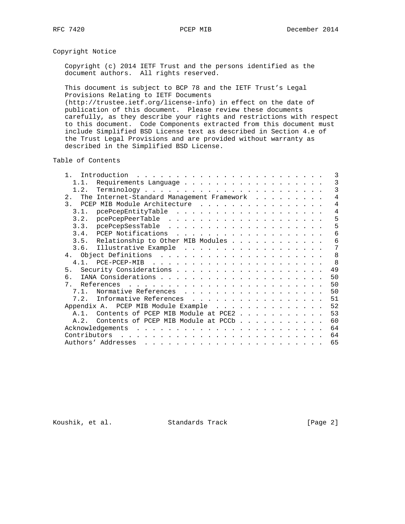# Copyright Notice

 Copyright (c) 2014 IETF Trust and the persons identified as the document authors. All rights reserved.

 This document is subject to BCP 78 and the IETF Trust's Legal Provisions Relating to IETF Documents (http://trustee.ietf.org/license-info) in effect on the date of

 publication of this document. Please review these documents carefully, as they describe your rights and restrictions with respect to this document. Code Components extracted from this document must include Simplified BSD License text as described in Section 4.e of the Trust Legal Provisions and are provided without warranty as described in the Simplified BSD License.

Table of Contents

| $\mathbf{1}$<br>Introduction                     |                                                                                                                                                                                                                                                                                                                                                                                                                                                            |  |  |  | 3  |
|--------------------------------------------------|------------------------------------------------------------------------------------------------------------------------------------------------------------------------------------------------------------------------------------------------------------------------------------------------------------------------------------------------------------------------------------------------------------------------------------------------------------|--|--|--|----|
| Requirements Language<br>1.1.                    |                                                                                                                                                                                                                                                                                                                                                                                                                                                            |  |  |  | 3  |
|                                                  |                                                                                                                                                                                                                                                                                                                                                                                                                                                            |  |  |  | 3  |
| The Internet-Standard Management Framework<br>2. |                                                                                                                                                                                                                                                                                                                                                                                                                                                            |  |  |  | 4  |
| 3. PCEP MIB Module Architecture                  |                                                                                                                                                                                                                                                                                                                                                                                                                                                            |  |  |  | 4  |
| pcePcepEntityTable<br>3.1.                       |                                                                                                                                                                                                                                                                                                                                                                                                                                                            |  |  |  | 4  |
|                                                  |                                                                                                                                                                                                                                                                                                                                                                                                                                                            |  |  |  | 5  |
|                                                  |                                                                                                                                                                                                                                                                                                                                                                                                                                                            |  |  |  | 5  |
|                                                  |                                                                                                                                                                                                                                                                                                                                                                                                                                                            |  |  |  | 6  |
| 3.5. Relationship to Other MIB Modules           |                                                                                                                                                                                                                                                                                                                                                                                                                                                            |  |  |  | 6  |
|                                                  |                                                                                                                                                                                                                                                                                                                                                                                                                                                            |  |  |  | 7  |
|                                                  |                                                                                                                                                                                                                                                                                                                                                                                                                                                            |  |  |  | 8  |
|                                                  |                                                                                                                                                                                                                                                                                                                                                                                                                                                            |  |  |  | -8 |
|                                                  |                                                                                                                                                                                                                                                                                                                                                                                                                                                            |  |  |  | 49 |
| რ.                                               |                                                                                                                                                                                                                                                                                                                                                                                                                                                            |  |  |  | 50 |
| 7                                                |                                                                                                                                                                                                                                                                                                                                                                                                                                                            |  |  |  | 50 |
| Normative References<br>7.1.                     |                                                                                                                                                                                                                                                                                                                                                                                                                                                            |  |  |  | 50 |
| 7.2. Informative References                      |                                                                                                                                                                                                                                                                                                                                                                                                                                                            |  |  |  | 51 |
| Appendix A. PCEP MIB Module Example              |                                                                                                                                                                                                                                                                                                                                                                                                                                                            |  |  |  | 52 |
| A.1. Contents of PCEP MIB Module at PCE2         |                                                                                                                                                                                                                                                                                                                                                                                                                                                            |  |  |  | 53 |
| Contents of PCEP MIB Module at PCCb<br>A.2.      |                                                                                                                                                                                                                                                                                                                                                                                                                                                            |  |  |  | 60 |
|                                                  |                                                                                                                                                                                                                                                                                                                                                                                                                                                            |  |  |  | 64 |
| Contributors                                     |                                                                                                                                                                                                                                                                                                                                                                                                                                                            |  |  |  | 64 |
| Authors' Addresses                               | $\mathbf{1}_{\mathbf{1}}\left( \mathbf{1}_{\mathbf{1}}\left( \mathbf{1}_{\mathbf{1}}\left( \mathbf{1}_{\mathbf{1}}\left( \mathbf{1}_{\mathbf{1}}\left( \mathbf{1}_{\mathbf{1}}\left( \mathbf{1}_{\mathbf{1}}\left( \mathbf{1}_{\mathbf{1}}\left( \mathbf{1}_{\mathbf{1}}\left( \mathbf{1}_{\mathbf{1}}\left( \mathbf{1}_{\mathbf{1}}\left( \mathbf{1}_{\mathbf{1}}\left( \mathbf{1}_{\mathbf{1}}\left( \mathbf{1}_{\mathbf{1}}\left( \mathbf{1}_{\mathbf{$ |  |  |  | 65 |

Koushik, et al. Standards Track [Page 2]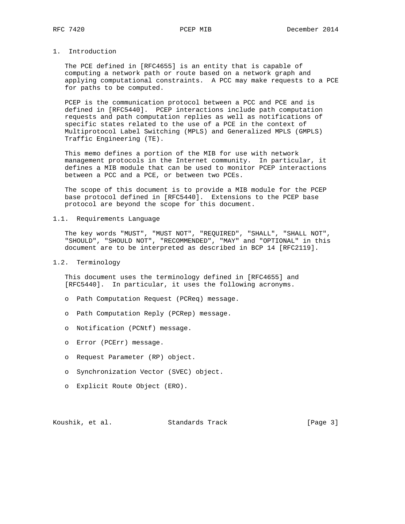# 1. Introduction

 The PCE defined in [RFC4655] is an entity that is capable of computing a network path or route based on a network graph and applying computational constraints. A PCC may make requests to a PCE for paths to be computed.

PCEP is the communication protocol between a PCC and PCE and is defined in [RFC5440]. PCEP interactions include path computation requests and path computation replies as well as notifications of specific states related to the use of a PCE in the context of Multiprotocol Label Switching (MPLS) and Generalized MPLS (GMPLS) Traffic Engineering (TE).

 This memo defines a portion of the MIB for use with network management protocols in the Internet community. In particular, it defines a MIB module that can be used to monitor PCEP interactions between a PCC and a PCE, or between two PCEs.

 The scope of this document is to provide a MIB module for the PCEP base protocol defined in [RFC5440]. Extensions to the PCEP base protocol are beyond the scope for this document.

# 1.1. Requirements Language

 The key words "MUST", "MUST NOT", "REQUIRED", "SHALL", "SHALL NOT", "SHOULD", "SHOULD NOT", "RECOMMENDED", "MAY" and "OPTIONAL" in this document are to be interpreted as described in BCP 14 [RFC2119].

### 1.2. Terminology

 This document uses the terminology defined in [RFC4655] and [RFC5440]. In particular, it uses the following acronyms.

- o Path Computation Request (PCReq) message.
- o Path Computation Reply (PCRep) message.
- o Notification (PCNtf) message.
- o Error (PCErr) message.
- o Request Parameter (RP) object.
- o Synchronization Vector (SVEC) object.
- o Explicit Route Object (ERO).

Koushik, et al. Standards Track [Page 3]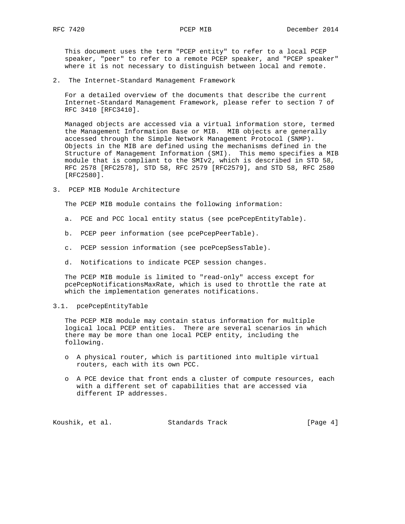This document uses the term "PCEP entity" to refer to a local PCEP speaker, "peer" to refer to a remote PCEP speaker, and "PCEP speaker" where it is not necessary to distinguish between local and remote.

2. The Internet-Standard Management Framework

 For a detailed overview of the documents that describe the current Internet-Standard Management Framework, please refer to section 7 of RFC 3410 [RFC3410].

 Managed objects are accessed via a virtual information store, termed the Management Information Base or MIB. MIB objects are generally accessed through the Simple Network Management Protocol (SNMP). Objects in the MIB are defined using the mechanisms defined in the Structure of Management Information (SMI). This memo specifies a MIB module that is compliant to the SMIv2, which is described in STD 58, RFC 2578 [RFC2578], STD 58, RFC 2579 [RFC2579], and STD 58, RFC 2580 [RFC2580].

3. PCEP MIB Module Architecture

The PCEP MIB module contains the following information:

- a. PCE and PCC local entity status (see pcePcepEntityTable).
- b. PCEP peer information (see pcePcepPeerTable).
- c. PCEP session information (see pcePcepSessTable).
- d. Notifications to indicate PCEP session changes.

 The PCEP MIB module is limited to "read-only" access except for pcePcepNotificationsMaxRate, which is used to throttle the rate at which the implementation generates notifications.

3.1. pcePcepEntityTable

 The PCEP MIB module may contain status information for multiple logical local PCEP entities. There are several scenarios in which there may be more than one local PCEP entity, including the following.

- o A physical router, which is partitioned into multiple virtual routers, each with its own PCC.
- o A PCE device that front ends a cluster of compute resources, each with a different set of capabilities that are accessed via different IP addresses.

Koushik, et al. Standards Track [Page 4]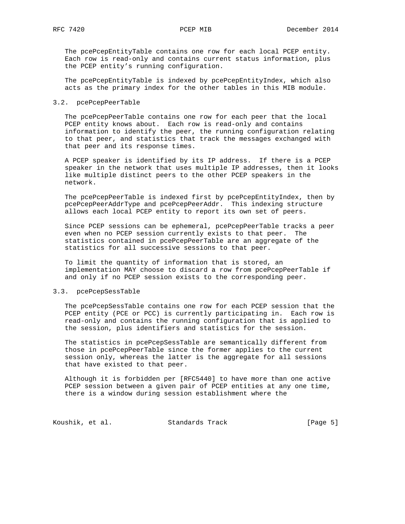The pcePcepEntityTable contains one row for each local PCEP entity. Each row is read-only and contains current status information, plus the PCEP entity's running configuration.

 The pcePcepEntityTable is indexed by pcePcepEntityIndex, which also acts as the primary index for the other tables in this MIB module.

### 3.2. pcePcepPeerTable

 The pcePcepPeerTable contains one row for each peer that the local PCEP entity knows about. Each row is read-only and contains information to identify the peer, the running configuration relating to that peer, and statistics that track the messages exchanged with that peer and its response times.

 A PCEP speaker is identified by its IP address. If there is a PCEP speaker in the network that uses multiple IP addresses, then it looks like multiple distinct peers to the other PCEP speakers in the network.

 The pcePcepPeerTable is indexed first by pcePcepEntityIndex, then by pcePcepPeerAddrType and pcePcepPeerAddr. This indexing structure allows each local PCEP entity to report its own set of peers.

 Since PCEP sessions can be ephemeral, pcePcepPeerTable tracks a peer even when no PCEP session currently exists to that peer. The statistics contained in pcePcepPeerTable are an aggregate of the statistics for all successive sessions to that peer.

 To limit the quantity of information that is stored, an implementation MAY choose to discard a row from pcePcepPeerTable if and only if no PCEP session exists to the corresponding peer.

### 3.3. pcePcepSessTable

 The pcePcepSessTable contains one row for each PCEP session that the PCEP entity (PCE or PCC) is currently participating in. Each row is read-only and contains the running configuration that is applied to the session, plus identifiers and statistics for the session.

 The statistics in pcePcepSessTable are semantically different from those in pcePcepPeerTable since the former applies to the current session only, whereas the latter is the aggregate for all sessions that have existed to that peer.

 Although it is forbidden per [RFC5440] to have more than one active PCEP session between a given pair of PCEP entities at any one time, there is a window during session establishment where the

Koushik, et al. Standards Track [Page 5]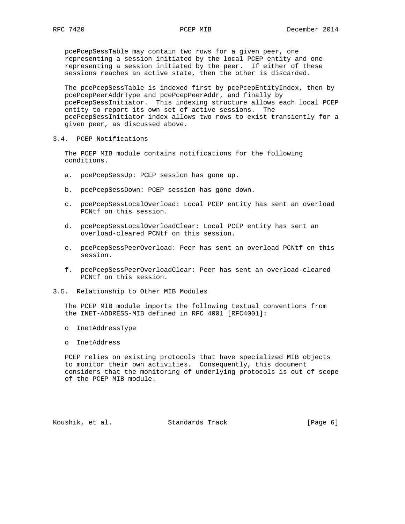pcePcepSessTable may contain two rows for a given peer, one representing a session initiated by the local PCEP entity and one representing a session initiated by the peer. If either of these sessions reaches an active state, then the other is discarded.

 The pcePcepSessTable is indexed first by pcePcepEntityIndex, then by pcePcepPeerAddrType and pcePcepPeerAddr, and finally by pcePcepSessInitiator. This indexing structure allows each local PCEP entity to report its own set of active sessions. The pcePcepSessInitiator index allows two rows to exist transiently for a given peer, as discussed above.

3.4. PCEP Notifications

 The PCEP MIB module contains notifications for the following conditions.

- a. pcePcepSessUp: PCEP session has gone up.
- b. pcePcepSessDown: PCEP session has gone down.
- c. pcePcepSessLocalOverload: Local PCEP entity has sent an overload PCNtf on this session.
- d. pcePcepSessLocalOverloadClear: Local PCEP entity has sent an overload-cleared PCNtf on this session.
- e. pcePcepSessPeerOverload: Peer has sent an overload PCNtf on this session.
- f. pcePcepSessPeerOverloadClear: Peer has sent an overload-cleared PCNtf on this session.
- 3.5. Relationship to Other MIB Modules

 The PCEP MIB module imports the following textual conventions from the INET-ADDRESS-MIB defined in RFC 4001 [RFC4001]:

- o InetAddressType
- o InetAddress

 PCEP relies on existing protocols that have specialized MIB objects to monitor their own activities. Consequently, this document considers that the monitoring of underlying protocols is out of scope of the PCEP MIB module.

Koushik, et al. Standards Track [Page 6]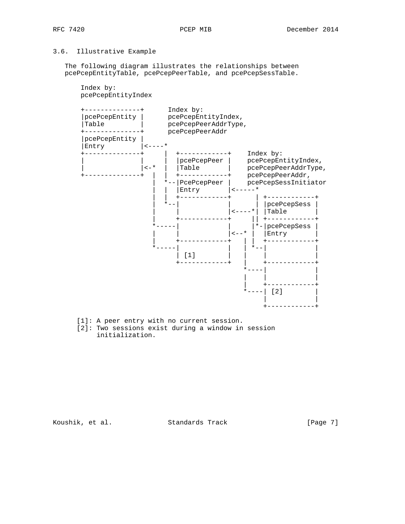# 3.6. Illustrative Example

 The following diagram illustrates the relationships between pcePcepEntityTable, pcePcepPeerTable, and pcePcepSessTable.



- [1]: A peer entry with no current session.
- [2]: Two sessions exist during a window in session initialization.

Koushik, et al. Standards Track [Page 7]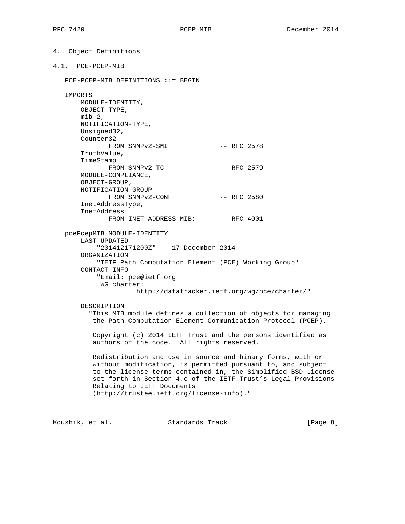```
4. Object Definitions
```
4.1. PCE-PCEP-MIB

```
 PCE-PCEP-MIB DEFINITIONS ::= BEGIN
```
IMPORTS

 MODULE-IDENTITY, OBJECT-TYPE,  $min-2$ , NOTIFICATION-TYPE, Unsigned32, Counter32 FROM SNMPv2-SMI -- RFC 2578 TruthValue, TimeStamp FROM SNMPv2-TC -- RFC 2579 MODULE-COMPLIANCE, OBJECT-GROUP, NOTIFICATION-GROUP FROM SNMPv2-CONF -- RFC 2580 InetAddressType, InetAddress FROM INET-ADDRESS-MIB; -- RFC 4001 pcePcepMIB MODULE-IDENTITY LAST-UPDATED "201412171200Z" -- 17 December 2014 ORGANIZATION "IETF Path Computation Element (PCE) Working Group" CONTACT-INFO "Email: pce@ietf.org

WG charter:

http://datatracker.ietf.org/wg/pce/charter/"

### DESCRIPTION

 "This MIB module defines a collection of objects for managing the Path Computation Element Communication Protocol (PCEP).

 Copyright (c) 2014 IETF Trust and the persons identified as authors of the code. All rights reserved.

 Redistribution and use in source and binary forms, with or without modification, is permitted pursuant to, and subject to the license terms contained in, the Simplified BSD License set forth in Section 4.c of the IETF Trust's Legal Provisions Relating to IETF Documents (http://trustee.ietf.org/license-info)."

Koushik, et al. Standards Track [Page 8]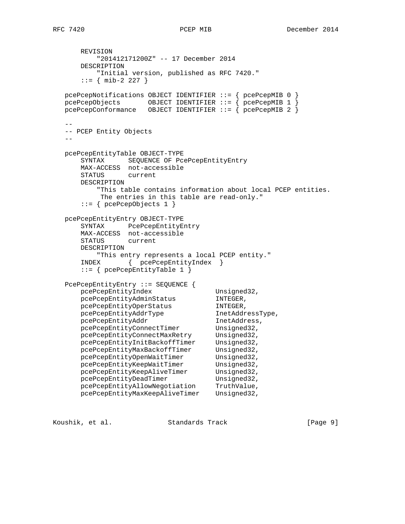REVISION "201412171200Z" -- 17 December 2014 DESCRIPTION "Initial version, published as RFC 7420."  $::=$  { mib-2 227 } pcePcepNotifications OBJECT IDENTIFIER ::= { pcePcepMIB 0 } pcePcepObjects OBJECT IDENTIFIER ::= { pcePcepMIB 1 } pcePcepConformance OBJECT IDENTIFIER ::= { pcePcepMIB 2 } -- -- PCEP Entity Objects  $$  pcePcepEntityTable OBJECT-TYPE SYNTAX SEQUENCE OF PcePcepEntityEntry MAX-ACCESS not-accessible STATUS current DESCRIPTION "This table contains information about local PCEP entities. The entries in this table are read-only." ::= { pcePcepObjects 1 } pcePcepEntityEntry OBJECT-TYPE SYNTAX PcePcepEntityEntry MAX-ACCESS not-accessible STATUS current DESCRIPTION "This entry represents a local PCEP entity." INDEX { pcePcepEntityIndex } ::= { pcePcepEntityTable 1 } PcePcepEntityEntry ::= SEQUENCE { pcePcepEntityIndex Unsigned32, pcePcepEntityAdminStatus INTEGER, pcePcepEntityOperStatus INTEGER, pcePcepEntityAddrType InetAddressType, pcePcepEntityAddr 1netAddress, pcePcepEntityConnectTimer Unsigned32, pcePcepEntityConnectMaxRetry Unsigned32, pcePcepEntityInitBackoffTimer Unsigned32, pcePcepEntityMaxBackoffTimer Unsigned32, pcePcepEntityOpenWaitTimer Unsigned32, pcePcepEntityKeepWaitTimer Unsigned32, pcePcepEntityKeepAliveTimer Unsigned32, pcePcepEntityDeadTimer Unsigned32, pcePcepEntityAllowNegotiation TruthValue, pcePcepEntityMaxKeepAliveTimer Unsigned32,

Koushik, et al. Standards Track [Page 9]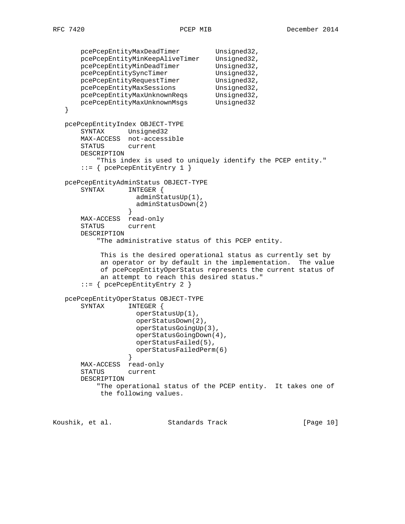```
pcePcepEntityMaxDeadTimer Unsigned32,
 pcePcepEntityMinKeepAliveTimer Unsigned32,
pcePcepEntityMinDeadTimer Unsigned32,
       pcePcepEntitySyncTimer Unsigned32,
      pcePcepEntityRequestTimer
       pcePcepEntityMaxSessions Unsigned32,
       pcePcepEntityMaxUnknownReqs Unsigned32,
       pcePcepEntityMaxUnknownMsgs Unsigned32
   }
   pcePcepEntityIndex OBJECT-TYPE
       SYNTAX Unsigned32
       MAX-ACCESS not-accessible
       STATUS current
       DESCRIPTION
          "This index is used to uniquely identify the PCEP entity."
       ::= { pcePcepEntityEntry 1 }
   pcePcepEntityAdminStatus OBJECT-TYPE
       SYNTAX INTEGER {
                    adminStatusUp(1),
                    adminStatusDown(2)
 }
       MAX-ACCESS read-only
       STATUS current
       DESCRIPTION
           "The administrative status of this PCEP entity.
           This is the desired operational status as currently set by
           an operator or by default in the implementation. The value
           of pcePcepEntityOperStatus represents the current status of
           an attempt to reach this desired status."
       ::= { pcePcepEntityEntry 2 }
   pcePcepEntityOperStatus OBJECT-TYPE
       SYNTAX INTEGER {
                    operStatusUp(1),
                    operStatusDown(2),
                    operStatusGoingUp(3),
                    operStatusGoingDown(4),
                    operStatusFailed(5),
                    operStatusFailedPerm(6)
 }
       MAX-ACCESS read-only
       STATUS current
       DESCRIPTION
           "The operational status of the PCEP entity. It takes one of
           the following values.
```
Koushik, et al. Standards Track [Page 10]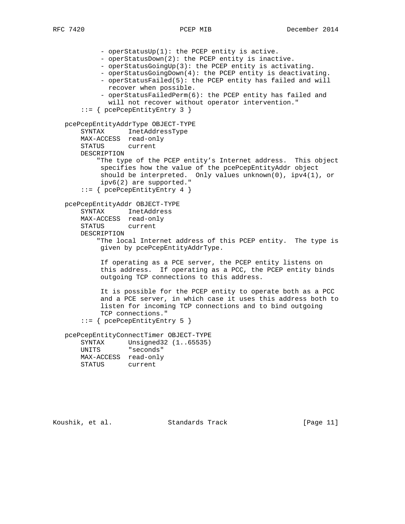- operStatusUp(1): the PCEP entity is active. - operStatusDown(2): the PCEP entity is inactive. - operStatusGoingUp(3): the PCEP entity is activating. - operStatusGoingDown(4): the PCEP entity is deactivating. - operStatusFailed(5): the PCEP entity has failed and will recover when possible. - operStatusFailedPerm(6): the PCEP entity has failed and will not recover without operator intervention." ::= { pcePcepEntityEntry 3 } pcePcepEntityAddrType OBJECT-TYPE SYNTAX InetAddressType MAX-ACCESS read-only STATUS current DESCRIPTION "The type of the PCEP entity's Internet address. This object specifies how the value of the pcePcepEntityAddr object should be interpreted. Only values unknown(0),  $ipv4(1)$ , or ipv6(2) are supported." ::= { pcePcepEntityEntry 4 } pcePcepEntityAddr OBJECT-TYPE SYNTAX InetAddress MAX-ACCESS read-only STATUS current DESCRIPTION "The local Internet address of this PCEP entity. The type is given by pcePcepEntityAddrType. If operating as a PCE server, the PCEP entity listens on this address. If operating as a PCC, the PCEP entity binds outgoing TCP connections to this address. It is possible for the PCEP entity to operate both as a PCC and a PCE server, in which case it uses this address both to listen for incoming TCP connections and to bind outgoing TCP connections." ::= { pcePcepEntityEntry 5 } pcePcepEntityConnectTimer OBJECT-TYPE SYNTAX Unsigned32 (1..65535) UNITS "seconds" MAX-ACCESS read-only STATUS current

Koushik, et al. Standards Track [Page 11]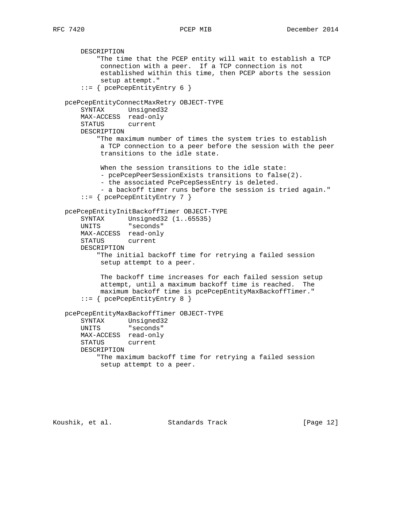DESCRIPTION "The time that the PCEP entity will wait to establish a TCP connection with a peer. If a TCP connection is not established within this time, then PCEP aborts the session setup attempt." ::= { pcePcepEntityEntry 6 } pcePcepEntityConnectMaxRetry OBJECT-TYPE SYNTAX Unsigned32 MAX-ACCESS read-only STATUS current DESCRIPTION "The maximum number of times the system tries to establish a TCP connection to a peer before the session with the peer transitions to the idle state. When the session transitions to the idle state: - pcePcepPeerSessionExists transitions to false(2). - the associated PcePcepSessEntry is deleted. - a backoff timer runs before the session is tried again." ::= { pcePcepEntityEntry 7 } pcePcepEntityInitBackoffTimer OBJECT-TYPE SYNTAX Unsigned32 (1..65535) UNITS "seconds" MAX-ACCESS read-only STATUS current DESCRIPTION "The initial backoff time for retrying a failed session setup attempt to a peer. The backoff time increases for each failed session setup attempt, until a maximum backoff time is reached. The maximum backoff time is pcePcepEntityMaxBackoffTimer." ::= { pcePcepEntityEntry 8 } pcePcepEntityMaxBackoffTimer OBJECT-TYPE SYNTAX Unsigned32 UNITS "seconds" MAX-ACCESS read-only STATUS current DESCRIPTION "The maximum backoff time for retrying a failed session setup attempt to a peer.

Koushik, et al. Standards Track [Page 12]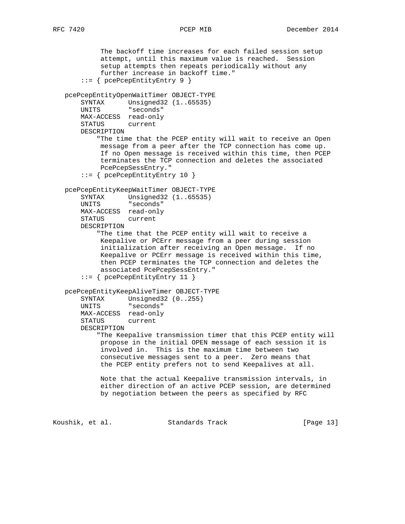The backoff time increases for each failed session setup attempt, until this maximum value is reached. Session setup attempts then repeats periodically without any further increase in backoff time." ::= { pcePcepEntityEntry 9 } pcePcepEntityOpenWaitTimer OBJECT-TYPE SYNTAX Unsigned32 (1..65535) UNITS "seconds" MAX-ACCESS read-only STATUS current DESCRIPTION "The time that the PCEP entity will wait to receive an Open message from a peer after the TCP connection has come up. If no Open message is received within this time, then PCEP terminates the TCP connection and deletes the associated PcePcepSessEntry." ::= { pcePcepEntityEntry 10 } pcePcepEntityKeepWaitTimer OBJECT-TYPE SYNTAX Unsigned32 (1..65535) UNITS "seconds" MAX-ACCESS read-only STATUS current DESCRIPTION "The time that the PCEP entity will wait to receive a Keepalive or PCErr message from a peer during session initialization after receiving an Open message. If no Keepalive or PCErr message is received within this time, then PCEP terminates the TCP connection and deletes the associated PcePcepSessEntry." ::= { pcePcepEntityEntry 11 } pcePcepEntityKeepAliveTimer OBJECT-TYPE SYNTAX Unsigned32 (0..255) UNITS "seconds" MAX-ACCESS read-only STATUS current DESCRIPTION "The Keepalive transmission timer that this PCEP entity will propose in the initial OPEN message of each session it is involved in. This is the maximum time between two consecutive messages sent to a peer. Zero means that the PCEP entity prefers not to send Keepalives at all. Note that the actual Keepalive transmission intervals, in either direction of an active PCEP session, are determined by negotiation between the peers as specified by RFC Koushik, et al. Standards Track [Page 13]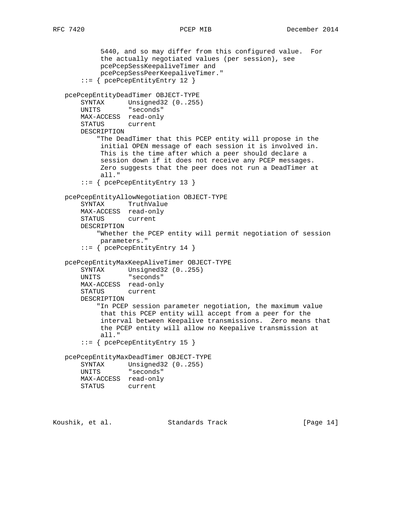```
 5440, and so may differ from this configured value. For
     the actually negotiated values (per session), see
     pcePcepSessKeepaliveTimer and
     pcePcepSessPeerKeepaliveTimer."
 ::= { pcePcepEntityEntry 12 }
```
 pcePcepEntityDeadTimer OBJECT-TYPE SYNTAX Unsigned32 (0..255) UNITS "seconds" MAX-ACCESS read-only STATUS current DESCRIPTION "The DeadTimer that this PCEP entity will propose in the initial OPEN message of each session it is involved in. This is the time after which a peer should declare a session down if it does not receive any PCEP messages. Zero suggests that the peer does not run a DeadTimer at

```
 all."
     ::= { pcePcepEntityEntry 13 }
 pcePcepEntityAllowNegotiation OBJECT-TYPE
     SYNTAX TruthValue
    MAX-ACCESS read-only
    STATUS current
    DESCRIPTION
        "Whether the PCEP entity will permit negotiation of session
         parameters."
     ::= { pcePcepEntityEntry 14 }
 pcePcepEntityMaxKeepAliveTimer OBJECT-TYPE
   SYNTAX Unsigned32 (0..255)
    UNITS "seconds"
    MAX-ACCESS read-only
    STATUS current
```
 DESCRIPTION "In PCEP session parameter negotiation, the maximum value that this PCEP entity will accept from a peer for the interval between Keepalive transmissions. Zero means that the PCEP entity will allow no Keepalive transmission at all."

```
 ::= { pcePcepEntityEntry 15 }
```
 pcePcepEntityMaxDeadTimer OBJECT-TYPE SYNTAX Unsigned32 (0..255) UNITS "seconds" MAX-ACCESS read-only STATUS current

```
Koushik, et al.                 Standards Track                 [Page 14]
```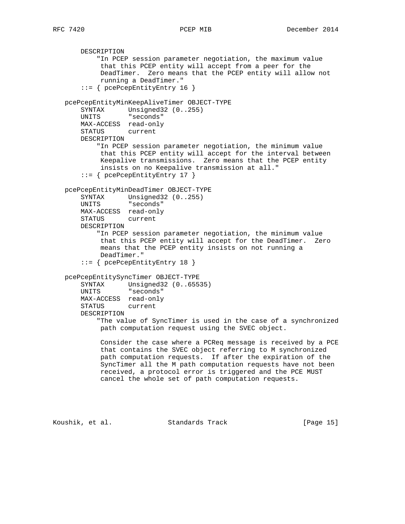DESCRIPTION "In PCEP session parameter negotiation, the maximum value that this PCEP entity will accept from a peer for the DeadTimer. Zero means that the PCEP entity will allow not running a DeadTimer." ::= { pcePcepEntityEntry 16 } pcePcepEntityMinKeepAliveTimer OBJECT-TYPE SYNTAX Unsigned32 (0..255) UNITS "seconds" MAX-ACCESS read-only STATUS current DESCRIPTION "In PCEP session parameter negotiation, the minimum value that this PCEP entity will accept for the interval between Keepalive transmissions. Zero means that the PCEP entity insists on no Keepalive transmission at all." ::= { pcePcepEntityEntry 17 } pcePcepEntityMinDeadTimer OBJECT-TYPE SYNTAX Unsigned32 (0..255) UNITS "seconds" MAX-ACCESS read-only STATUS current DESCRIPTION "In PCEP session parameter negotiation, the minimum value that this PCEP entity will accept for the DeadTimer. Zero means that the PCEP entity insists on not running a DeadTimer." ::= { pcePcepEntityEntry 18 } pcePcepEntitySyncTimer OBJECT-TYPE SYNTAX Unsigned32 (0..65535) UNITS "seconds" MAX-ACCESS read-only STATUS current DESCRIPTION "The value of SyncTimer is used in the case of a synchronized path computation request using the SVEC object. Consider the case where a PCReq message is received by a PCE that contains the SVEC object referring to M synchronized path computation requests. If after the expiration of the SyncTimer all the M path computation requests have not been received, a protocol error is triggered and the PCE MUST cancel the whole set of path computation requests.

Koushik, et al. Standards Track [Page 15]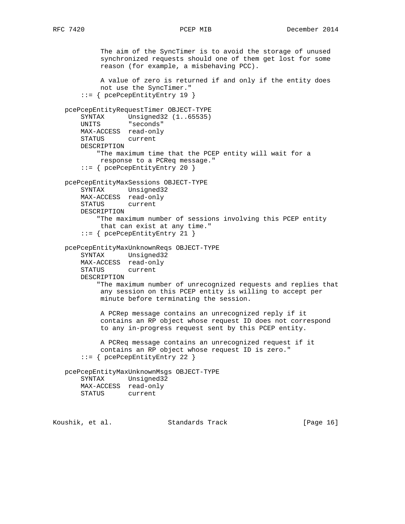The aim of the SyncTimer is to avoid the storage of unused synchronized requests should one of them get lost for some reason (for example, a misbehaving PCC). A value of zero is returned if and only if the entity does not use the SyncTimer." ::= { pcePcepEntityEntry 19 } pcePcepEntityRequestTimer OBJECT-TYPE SYNTAX Unsigned32 (1..65535) UNITS "seconds" MAX-ACCESS read-only STATUS current DESCRIPTION "The maximum time that the PCEP entity will wait for a response to a PCReq message." ::= { pcePcepEntityEntry 20 } pcePcepEntityMaxSessions OBJECT-TYPE SYNTAX Unsigned32 MAX-ACCESS read-only STATUS current DESCRIPTION "The maximum number of sessions involving this PCEP entity that can exist at any time." ::= { pcePcepEntityEntry 21 } pcePcepEntityMaxUnknownReqs OBJECT-TYPE SYNTAX Unsigned32 MAX-ACCESS read-only STATUS current DESCRIPTION "The maximum number of unrecognized requests and replies that any session on this PCEP entity is willing to accept per minute before terminating the session. A PCRep message contains an unrecognized reply if it contains an RP object whose request ID does not correspond to any in-progress request sent by this PCEP entity. A PCReq message contains an unrecognized request if it contains an RP object whose request ID is zero." ::= { pcePcepEntityEntry 22 } pcePcepEntityMaxUnknownMsgs OBJECT-TYPE SYNTAX Unsigned32 MAX-ACCESS read-only STATUS current Koushik, et al. Standards Track [Page 16]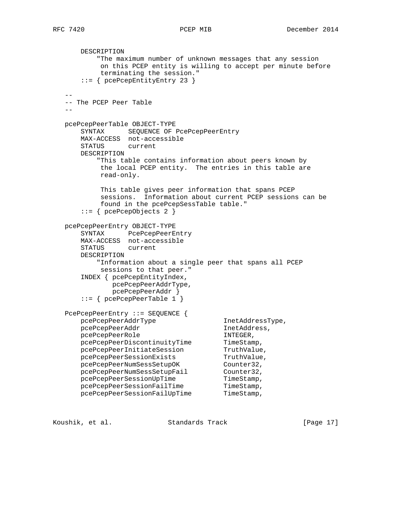```
 DESCRIPTION
          "The maximum number of unknown messages that any session
           on this PCEP entity is willing to accept per minute before
           terminating the session."
       ::= { pcePcepEntityEntry 23 }
 --
   -- The PCEP Peer Table
- pcePcepPeerTable OBJECT-TYPE
      SYNTAX SEQUENCE OF PcePcepPeerEntry
      MAX-ACCESS not-accessible
      STATUS current
      DESCRIPTION
          "This table contains information about peers known by
           the local PCEP entity. The entries in this table are
           read-only.
           This table gives peer information that spans PCEP
           sessions. Information about current PCEP sessions can be
           found in the pcePcepSessTable table."
       ::= { pcePcepObjects 2 }
   pcePcepPeerEntry OBJECT-TYPE
 SYNTAX PcePcepPeerEntry
 MAX-ACCESS not-accessible
      STATUS current
      DESCRIPTION
          "Information about a single peer that spans all PCEP
           sessions to that peer."
       INDEX { pcePcepEntityIndex,
             pcePcepPeerAddrType,
             pcePcepPeerAddr }
       ::= { pcePcepPeerTable 1 }
   PcePcepPeerEntry ::= SEQUENCE {
     pcePcepPeerAddrType InetAddressType,
     pcePcepPeerAddr InetAddress,
pcePcepPeerRole in the INTEGER,
pcePcepPeerDiscontinuityTime TimeStamp,
pcePcepPeerInitiateSession TruthValue,
pcePcepPeerSessionExists TruthValue,
pcePcepPeerNumSessSetupOK Counter32,
pcePcepPeerNumSessSetupFail Counter32,
pcePcepPeerSessionUpTime TimeStamp,
pcePcepPeerSessionFailTime TimeStamp,
pcePcepPeerSessionFailUpTime TimeStamp,
```
Koushik, et al. Standards Track [Page 17]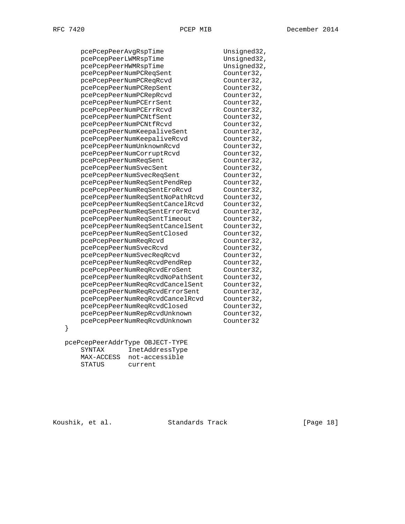pcePcepPeerAvgRspTime Unsigned32, pcePcepPeerLWMRspTime Unsigned32, pcePcepPeerHWMRspTime Unsigned32, pcePcepPeerNumPCReqSent Counter32, Counter32, Counter32, pcePcepPeerNumPCReqRcvd Counter32,<br>pcePcepPeerNumPCRepSent Counter32, pcePcepPeerNumPCRepSent pcePcepPeerNumPCRepRcvd Counter32, pcePcepPeerNumPCErrSent Counter32, pcePcepPeerNumPCErrRcvd Counter32, pcePcepPeerNumPCNtfSent Counter32, pcePcepPeerNumPCNtfRcvd Counter32,<br>pcePcepPeerNumKeepaliveSent Counter32, pcePcepPeerNumKeepaliveSent pcePcepPeerNumKeepaliveRcvd Counter32,<br>pcePcepPeerNumUnknownRcvd Counter32, -<br>pcePcepPeerNumUnknownRcvd Counter32, pcePcepPeerNumCorruptRcvd Counter32, pcePcepPeerNumReqSent Counter32, Counter32, counter32, pcePcepPeerNumSvecSent Counter32,<br>pcePcepPeerNumSvecReqSent Counter32. pcePcepPeerNumSvecReqSent pcePcepPeerNumReqSentPendRep Counter32, pcePcepPeerNumReqSentEroRcvd Counter32, pcePcepPeerNumReqSentNoPathRcvd Counter32, pcePcepPeerNumReqSentCancelRcvd Counter32, pcePcepPeerNumReqSentErrorRcvd Counter32, pcePcepPeerNumReqSentTimeout Counter32, pcePcepPeerNumReqSentCancelSent Counter32, pcePcepPeerNumReqSentClosed Counter32, pcePcepPeerNumReqRcvd Counter32, pcePcepPeerNumSvecRcvd Counter32,<br>pcePcepPeerNumSvecReqRcvd Counter32, pcePcepPeerNumSvecReqRcvd Counter32,<br>pcePcepPeerNumReqRcvdPendRep Counter32. pcerceprecimums...<br>pcePcepPeerNumReqRcvdPendRep pcePcepPeerNumReqRcvdEroSent Counter32, pcePcepPeerNumReqRcvdNoPathSent Counter32, pcePcepPeerNumReqRcvdCancelSent Counter32, pcePcepPeerNumReqRcvdErrorSent Counter32, pcePcepPeerNumReqRcvdCancelRcvd Counter32, pcePcepPeerNumReqRcvdClosed Counter32, pcePcepPeerNumRepRcvdUnknown Counter32, pcePcepPeerNumReqRcvdUnknown Counter32

 pcePcepPeerAddrType OBJECT-TYPE SYNTAX InetAddressType MAX-ACCESS not-accessible STATUS current

}

Koushik, et al. Standards Track [Paqe 18]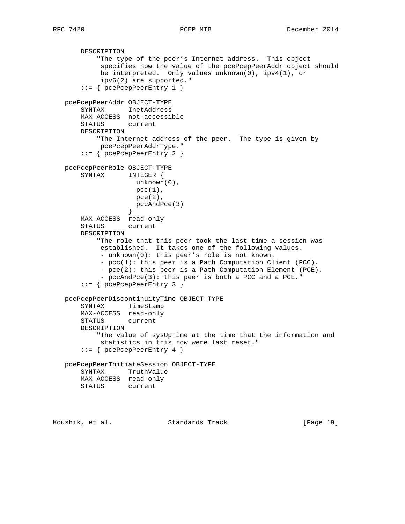```
 DESCRIPTION
            "The type of the peer's Internet address. This object
            specifies how the value of the pcePcepPeerAddr object should
            be interpreted. Only values unknown(0), ipv4(1), or
            ipv6(2) are supported."
       ::= { pcePcepPeerEntry 1 }
   pcePcepPeerAddr OBJECT-TYPE
       SYNTAX InetAddress
       MAX-ACCESS not-accessible
       STATUS current
       DESCRIPTION
           "The Internet address of the peer. The type is given by
            pcePcepPeerAddrType."
       ::= { pcePcepPeerEntry 2 }
   pcePcepPeerRole OBJECT-TYPE
       SYNTAX INTEGER {
                     unknown(0),
                    pcc(1),
                    pce(2),
                  pccAndPce(3)<br>}
 }
       MAX-ACCESS read-only
       STATUS current
       DESCRIPTION
            "The role that this peer took the last time a session was
            established. It takes one of the following values.
            - unknown(0): this peer's role is not known.
            - pcc(1): this peer is a Path Computation Client (PCC).
            - pce(2): this peer is a Path Computation Element (PCE).
            - pccAndPce(3): this peer is both a PCC and a PCE."
       ::= { pcePcepPeerEntry 3 }
   pcePcepPeerDiscontinuityTime OBJECT-TYPE
       SYNTAX TimeStamp
       MAX-ACCESS read-only
       STATUS current
       DESCRIPTION
           "The value of sysUpTime at the time that the information and
            statistics in this row were last reset."
       ::= { pcePcepPeerEntry 4 }
   pcePcepPeerInitiateSession OBJECT-TYPE
       SYNTAX TruthValue
       MAX-ACCESS read-only
       STATUS current
```
Koushik, et al. Standards Track [Page 19]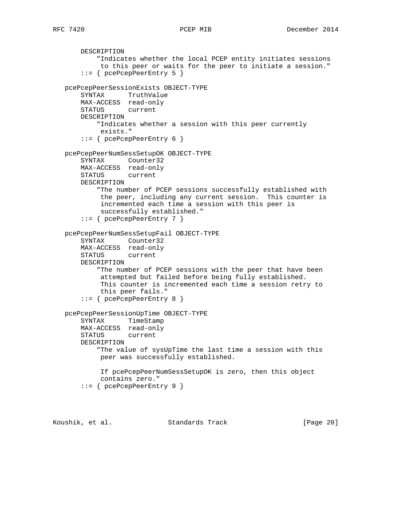```
 DESCRIPTION
            "Indicates whether the local PCEP entity initiates sessions
            to this peer or waits for the peer to initiate a session."
        ::= { pcePcepPeerEntry 5 }
   pcePcepPeerSessionExists OBJECT-TYPE
       SYNTAX TruthValue
       MAX-ACCESS read-only
       STATUS current
       DESCRIPTION
           "Indicates whether a session with this peer currently
            exists."
       ::= { pcePcepPeerEntry 6 }
   pcePcepPeerNumSessSetupOK OBJECT-TYPE
       SYNTAX Counter32
       MAX-ACCESS read-only
       STATUS current
       DESCRIPTION
           "The number of PCEP sessions successfully established with
            the peer, including any current session. This counter is
            incremented each time a session with this peer is
            successfully established."
       ::= { pcePcepPeerEntry 7 }
   pcePcepPeerNumSessSetupFail OBJECT-TYPE
 SYNTAX Counter32
 MAX-ACCESS read-only
       STATUS current
       DESCRIPTION
           "The number of PCEP sessions with the peer that have been
            attempted but failed before being fully established.
            This counter is incremented each time a session retry to
            this peer fails."
       ::= { pcePcepPeerEntry 8 }
   pcePcepPeerSessionUpTime OBJECT-TYPE
       SYNTAX TimeStamp
       MAX-ACCESS read-only
       STATUS current
       DESCRIPTION
           "The value of sysUpTime the last time a session with this
            peer was successfully established.
            If pcePcepPeerNumSessSetupOK is zero, then this object
            contains zero."
       ::= { pcePcepPeerEntry 9 }
```
Koushik, et al. Standards Track [Page 20]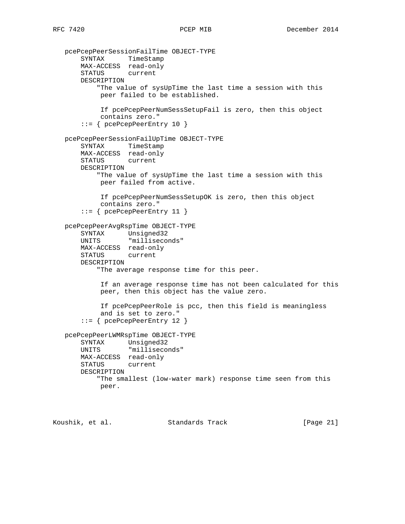```
 pcePcepPeerSessionFailTime OBJECT-TYPE
       SYNTAX TimeStamp
       MAX-ACCESS read-only
       STATUS current
       DESCRIPTION
           "The value of sysUpTime the last time a session with this
            peer failed to be established.
            If pcePcepPeerNumSessSetupFail is zero, then this object
            contains zero."
       ::= { pcePcepPeerEntry 10 }
   pcePcepPeerSessionFailUpTime OBJECT-TYPE
       SYNTAX TimeStamp
       MAX-ACCESS read-only
       STATUS current
       DESCRIPTION
           "The value of sysUpTime the last time a session with this
            peer failed from active.
            If pcePcepPeerNumSessSetupOK is zero, then this object
            contains zero."
       ::= { pcePcepPeerEntry 11 }
   pcePcepPeerAvgRspTime OBJECT-TYPE
 SYNTAX Unsigned32
 UNITS "milliseconds"
       MAX-ACCESS read-only
       STATUS current
       DESCRIPTION
           "The average response time for this peer.
            If an average response time has not been calculated for this
            peer, then this object has the value zero.
            If pcePcepPeerRole is pcc, then this field is meaningless
            and is set to zero."
       ::= { pcePcepPeerEntry 12 }
   pcePcepPeerLWMRspTime OBJECT-TYPE
       SYNTAX Unsigned32
       UNITS "milliseconds"
       MAX-ACCESS read-only
       STATUS current
       DESCRIPTION
           "The smallest (low-water mark) response time seen from this
            peer.
```
Koushik, et al. Standards Track [Page 21]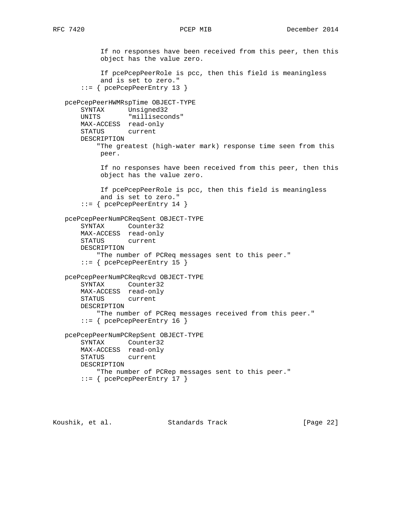If no responses have been received from this peer, then this object has the value zero. If pcePcepPeerRole is pcc, then this field is meaningless and is set to zero." ::= { pcePcepPeerEntry 13 } pcePcepPeerHWMRspTime OBJECT-TYPE SYNTAX Unsigned32 UNITS "milliseconds" MAX-ACCESS read-only STATUS current DESCRIPTION "The greatest (high-water mark) response time seen from this peer. If no responses have been received from this peer, then this object has the value zero. If pcePcepPeerRole is pcc, then this field is meaningless and is set to zero." ::= { pcePcepPeerEntry 14 } pcePcepPeerNumPCReqSent OBJECT-TYPE SYNTAX Counter32 MAX-ACCESS read-only STATUS current DESCRIPTION "The number of PCReq messages sent to this peer." ::= { pcePcepPeerEntry 15 } pcePcepPeerNumPCReqRcvd OBJECT-TYPE SYNTAX Counter32 MAX-ACCESS read-only STATUS current DESCRIPTION "The number of PCReq messages received from this peer." ::= { pcePcepPeerEntry 16 } pcePcepPeerNumPCRepSent OBJECT-TYPE SYNTAX Counter32 MAX-ACCESS read-only STATUS current DESCRIPTION "The number of PCRep messages sent to this peer." ::= { pcePcepPeerEntry 17 }

Koushik, et al. Standards Track [Page 22]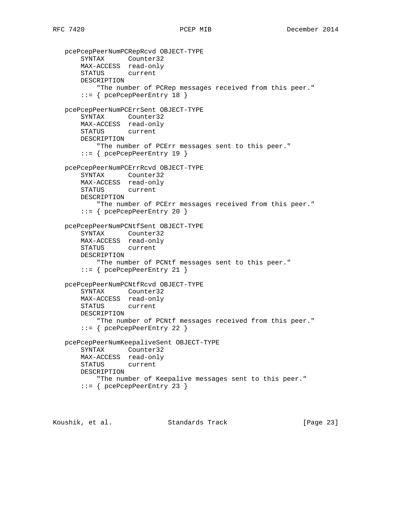```
 pcePcepPeerNumPCRepRcvd OBJECT-TYPE
 SYNTAX Counter32
 MAX-ACCESS read-only
       STATUS current
       DESCRIPTION
           "The number of PCRep messages received from this peer."
       ::= { pcePcepPeerEntry 18 }
   pcePcepPeerNumPCErrSent OBJECT-TYPE
       SYNTAX Counter32
       MAX-ACCESS read-only
       STATUS current
       DESCRIPTION
          "The number of PCErr messages sent to this peer."
       ::= { pcePcepPeerEntry 19 }
   pcePcepPeerNumPCErrRcvd OBJECT-TYPE
       SYNTAX Counter32
       MAX-ACCESS read-only
       STATUS current
       DESCRIPTION
           "The number of PCErr messages received from this peer."
       ::= { pcePcepPeerEntry 20 }
   pcePcepPeerNumPCNtfSent OBJECT-TYPE
 SYNTAX Counter32
 MAX-ACCESS read-only
       STATUS current
       DESCRIPTION
           "The number of PCNtf messages sent to this peer."
       ::= { pcePcepPeerEntry 21 }
   pcePcepPeerNumPCNtfRcvd OBJECT-TYPE
       SYNTAX Counter32
       MAX-ACCESS read-only
       STATUS current
       DESCRIPTION
           "The number of PCNtf messages received from this peer."
       ::= { pcePcepPeerEntry 22 }
   pcePcepPeerNumKeepaliveSent OBJECT-TYPE
       SYNTAX Counter32
       MAX-ACCESS read-only
       STATUS current
       DESCRIPTION
           "The number of Keepalive messages sent to this peer."
       ::= { pcePcepPeerEntry 23 }
```
Koushik, et al. Standards Track [Page 23]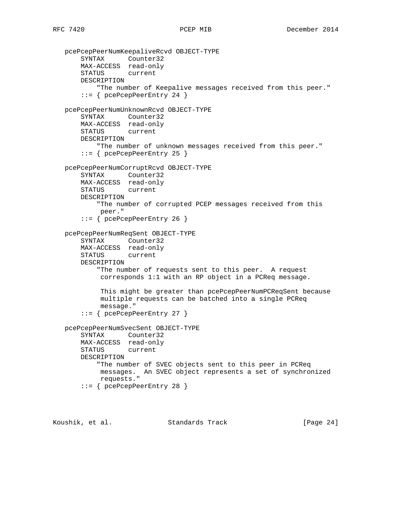```
 pcePcepPeerNumKeepaliveRcvd OBJECT-TYPE
     SYNTAX Counter32
     MAX-ACCESS read-only
     STATUS current
     DESCRIPTION
         "The number of Keepalive messages received from this peer."
     ::= { pcePcepPeerEntry 24 }
 pcePcepPeerNumUnknownRcvd OBJECT-TYPE
     SYNTAX Counter32
     MAX-ACCESS read-only
     STATUS current
     DESCRIPTION
        "The number of unknown messages received from this peer."
     ::= { pcePcepPeerEntry 25 }
 pcePcepPeerNumCorruptRcvd OBJECT-TYPE
     SYNTAX Counter32
     MAX-ACCESS read-only
     STATUS current
     DESCRIPTION
         "The number of corrupted PCEP messages received from this
         peer."
     ::= { pcePcepPeerEntry 26 }
 pcePcepPeerNumReqSent OBJECT-TYPE
     SYNTAX Counter32
     MAX-ACCESS read-only
     STATUS current
     DESCRIPTION
         "The number of requests sent to this peer. A request
         corresponds 1:1 with an RP object in a PCReq message.
          This might be greater than pcePcepPeerNumPCReqSent because
          multiple requests can be batched into a single PCReq
          message."
     ::= { pcePcepPeerEntry 27 }
 pcePcepPeerNumSvecSent OBJECT-TYPE
     SYNTAX Counter32
     MAX-ACCESS read-only
     STATUS current
     DESCRIPTION
         "The number of SVEC objects sent to this peer in PCReq
         messages. An SVEC object represents a set of synchronized
         requests."
     ::= { pcePcepPeerEntry 28 }
```
Koushik, et al. Standards Track [Paqe 24]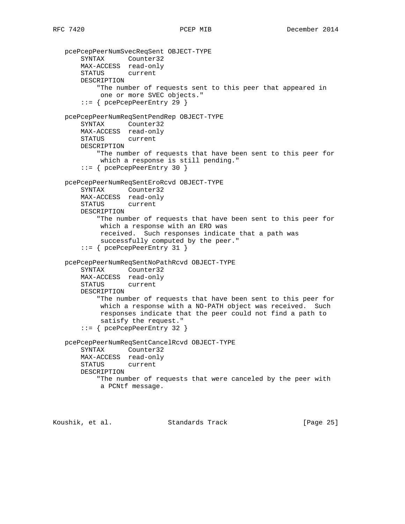```
 pcePcepPeerNumSvecReqSent OBJECT-TYPE
 SYNTAX Counter32
 MAX-ACCESS read-only
       STATUS current
       DESCRIPTION
           "The number of requests sent to this peer that appeared in
            one or more SVEC objects."
       ::= { pcePcepPeerEntry 29 }
   pcePcepPeerNumReqSentPendRep OBJECT-TYPE
       SYNTAX Counter32
       MAX-ACCESS read-only
       STATUS current
       DESCRIPTION
           "The number of requests that have been sent to this peer for
            which a response is still pending."
       ::= { pcePcepPeerEntry 30 }
   pcePcepPeerNumReqSentEroRcvd OBJECT-TYPE
       SYNTAX Counter32
       MAX-ACCESS read-only
       STATUS current
       DESCRIPTION
           "The number of requests that have been sent to this peer for
            which a response with an ERO was
            received. Such responses indicate that a path was
            successfully computed by the peer."
       ::= { pcePcepPeerEntry 31 }
   pcePcepPeerNumReqSentNoPathRcvd OBJECT-TYPE
       SYNTAX Counter32
       MAX-ACCESS read-only
       STATUS current
       DESCRIPTION
           "The number of requests that have been sent to this peer for
            which a response with a NO-PATH object was received. Such
            responses indicate that the peer could not find a path to
            satisfy the request."
       ::= { pcePcepPeerEntry 32 }
   pcePcepPeerNumReqSentCancelRcvd OBJECT-TYPE
       SYNTAX Counter32
       MAX-ACCESS read-only
       STATUS current
       DESCRIPTION
           "The number of requests that were canceled by the peer with
            a PCNtf message.
```
Koushik, et al. Standards Track [Page 25]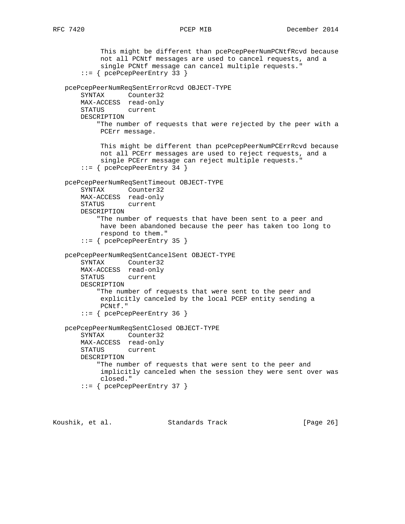```
 This might be different than pcePcepPeerNumPCNtfRcvd because
          not all PCNtf messages are used to cancel requests, and a
          single PCNtf message can cancel multiple requests."
     ::= { pcePcepPeerEntry 33 }
 pcePcepPeerNumReqSentErrorRcvd OBJECT-TYPE
     SYNTAX Counter32
     MAX-ACCESS read-only
     STATUS current
     DESCRIPTION
         "The number of requests that were rejected by the peer with a
         PCErr message.
          This might be different than pcePcepPeerNumPCErrRcvd because
          not all PCErr messages are used to reject requests, and a
          single PCErr message can reject multiple requests."
     ::= { pcePcepPeerEntry 34 }
 pcePcepPeerNumReqSentTimeout OBJECT-TYPE
     SYNTAX Counter32
     MAX-ACCESS read-only
     STATUS current
     DESCRIPTION
         "The number of requests that have been sent to a peer and
         have been abandoned because the peer has taken too long to
         respond to them."
     ::= { pcePcepPeerEntry 35 }
 pcePcepPeerNumReqSentCancelSent OBJECT-TYPE
     SYNTAX Counter32
     MAX-ACCESS read-only
     STATUS current
     DESCRIPTION
         "The number of requests that were sent to the peer and
          explicitly canceled by the local PCEP entity sending a
         PCNtf."
     ::= { pcePcepPeerEntry 36 }
 pcePcepPeerNumReqSentClosed OBJECT-TYPE
     SYNTAX Counter32
     MAX-ACCESS read-only
     STATUS current
     DESCRIPTION
         "The number of requests that were sent to the peer and
          implicitly canceled when the session they were sent over was
          closed."
     ::= { pcePcepPeerEntry 37 }
```
Koushik, et al. Standards Track [Page 26]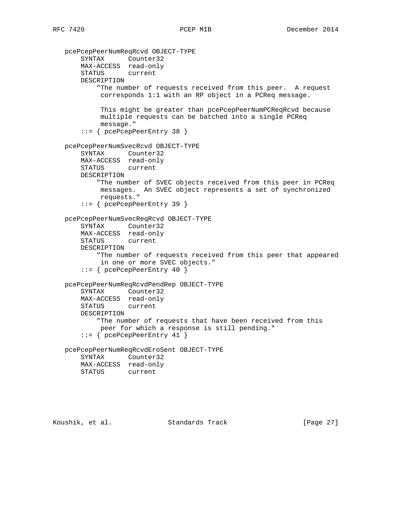pcePcepPeerNumReqRcvd OBJECT-TYPE SYNTAX Counter32 MAX-ACCESS read-only STATUS current DESCRIPTION "The number of requests received from this peer. A request corresponds 1:1 with an RP object in a PCReq message. This might be greater than pcePcepPeerNumPCReqRcvd because multiple requests can be batched into a single PCReq message." ::= { pcePcepPeerEntry 38 } pcePcepPeerNumSvecRcvd OBJECT-TYPE SYNTAX Counter32 MAX-ACCESS read-only STATUS current DESCRIPTION "The number of SVEC objects received from this peer in PCReq messages. An SVEC object represents a set of synchronized requests." ::= { pcePcepPeerEntry 39 } pcePcepPeerNumSvecReqRcvd OBJECT-TYPE SYNTAX Counter32 MAX-ACCESS read-only STATUS current DESCRIPTION "The number of requests received from this peer that appeared in one or more SVEC objects." ::= { pcePcepPeerEntry 40 } pcePcepPeerNumReqRcvdPendRep OBJECT-TYPE SYNTAX Counter32 MAX-ACCESS read-only STATUS current DESCRIPTION "The number of requests that have been received from this peer for which a response is still pending." ::= { pcePcepPeerEntry 41 } pcePcepPeerNumReqRcvdEroSent OBJECT-TYPE SYNTAX Counter32 MAX-ACCESS read-only STATUS current

Koushik, et al. Standards Track [Page 27]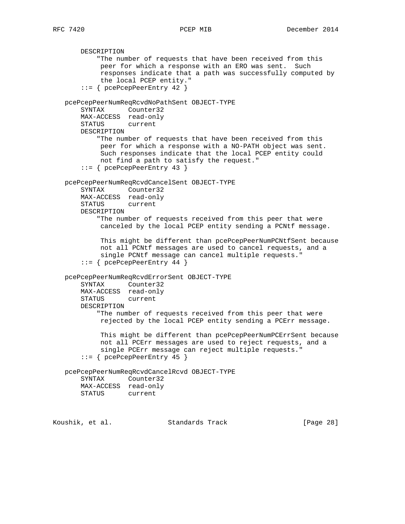DESCRIPTION "The number of requests that have been received from this peer for which a response with an ERO was sent. Such responses indicate that a path was successfully computed by the local PCEP entity." ::= { pcePcepPeerEntry 42 } pcePcepPeerNumReqRcvdNoPathSent OBJECT-TYPE SYNTAX Counter32 MAX-ACCESS read-only STATUS current DESCRIPTION "The number of requests that have been received from this peer for which a response with a NO-PATH object was sent. Such responses indicate that the local PCEP entity could not find a path to satisfy the request." ::= { pcePcepPeerEntry 43 } pcePcepPeerNumReqRcvdCancelSent OBJECT-TYPE SYNTAX Counter32 MAX-ACCESS read-only STATUS current DESCRIPTION "The number of requests received from this peer that were canceled by the local PCEP entity sending a PCNtf message. This might be different than pcePcepPeerNumPCNtfSent because not all PCNtf messages are used to cancel requests, and a single PCNtf message can cancel multiple requests." ::= { pcePcepPeerEntry 44 } pcePcepPeerNumReqRcvdErrorSent OBJECT-TYPE SYNTAX Counter32 MAX-ACCESS read-only STATUS current DESCRIPTION "The number of requests received from this peer that were rejected by the local PCEP entity sending a PCErr message. This might be different than pcePcepPeerNumPCErrSent because not all PCErr messages are used to reject requests, and a single PCErr message can reject multiple requests." ::= { pcePcepPeerEntry 45 } pcePcepPeerNumReqRcvdCancelRcvd OBJECT-TYPE SYNTAX Counter32 MAX-ACCESS read-only STATUS current Koushik, et al. Standards Track [Page 28]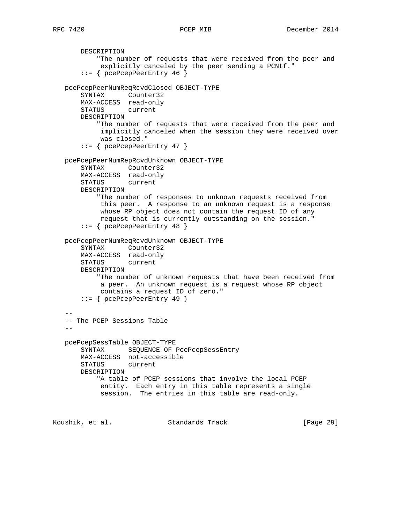DESCRIPTION "The number of requests that were received from the peer and explicitly canceled by the peer sending a PCNtf." ::= { pcePcepPeerEntry 46 } pcePcepPeerNumReqRcvdClosed OBJECT-TYPE SYNTAX Counter32 MAX-ACCESS read-only STATUS current DESCRIPTION "The number of requests that were received from the peer and implicitly canceled when the session they were received over was closed." ::= { pcePcepPeerEntry 47 } pcePcepPeerNumRepRcvdUnknown OBJECT-TYPE SYNTAX Counter32 MAX-ACCESS read-only STATUS current DESCRIPTION "The number of responses to unknown requests received from this peer. A response to an unknown request is a response whose RP object does not contain the request ID of any request that is currently outstanding on the session." ::= { pcePcepPeerEntry 48 } pcePcepPeerNumReqRcvdUnknown OBJECT-TYPE SYNTAX Counter32 MAX-ACCESS read-only STATUS current DESCRIPTION "The number of unknown requests that have been received from a peer. An unknown request is a request whose RP object contains a request ID of zero." ::= { pcePcepPeerEntry 49 } -- -- The PCEP Sessions Table  $$  pcePcepSessTable OBJECT-TYPE SYNTAX SEQUENCE OF PcePcepSessEntry MAX-ACCESS not-accessible STATUS current DESCRIPTION "A table of PCEP sessions that involve the local PCEP entity. Each entry in this table represents a single session. The entries in this table are read-only.

Koushik, et al. Standards Track [Page 29]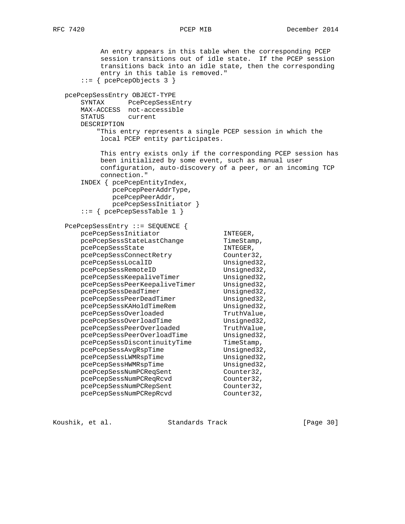An entry appears in this table when the corresponding PCEP session transitions out of idle state. If the PCEP session transitions back into an idle state, then the corresponding entry in this table is removed." ::= { pcePcepObjects 3 } pcePcepSessEntry OBJECT-TYPE SYNTAX PcePcepSessEntry MAX-ACCESS not-accessible STATUS current DESCRIPTION "This entry represents a single PCEP session in which the local PCEP entity participates. This entry exists only if the corresponding PCEP session has been initialized by some event, such as manual user configuration, auto-discovery of a peer, or an incoming TCP connection." INDEX { pcePcepEntityIndex, pcePcepPeerAddrType, pcePcepPeerAddr, pcePcepSessInitiator } ::= { pcePcepSessTable 1 } PcePcepSessEntry ::= SEQUENCE { pcePcepSessInitiator INTEGER, pccreepSessStateLastChange pcePcepSessState INTEGER,<br>pcePcepSessConnectRetry Counter32, pcePcepSessConnectRetry Counter32,<br>pcePcepSessLocalID Unsigned32, pcePcepSessLocalID pcePcepSessRemoteID Unsigned32,<br>pcePcepSessKeepaliveTimer Unsigned32,<br>pcePcepSessPeerKeepaliveTimer Unsigned32, pcePcepSessKeepaliveTimer Unsigned32, pcePcepSessPeerKeepaliveTimer Unsigned32, pcePcepSessDeadTimer Unsigned32, pcePcepSessPeerDeadTimer Unsigned32,<br>pcePcepSessKAHoldTimeRem Unsigned32, pcePcepSessKAHoldTimeRem Unsigned32,<br>pcePcepSessOverloaded TruthValue, pcePcepSessOverloaded TruthValue,<br>pcePcepSessOverloadTime Unsigned32, pcePcepSessOverloadTime Unsigned32,<br>pcePcepSessPeerOverloaded TruthValue, pcePcepSessPeerOverloaded TruthValue,<br>pcePcepSessPeerOverloadTime Unsigned32, pcePcepSessPeerOverloadTime Unsigned32, pcePcepSessDiscontinuityTime TimeStamp, pcePcepSessAvgRspTime Unsigned32, pcePcepSessLWMRspTime Unsigned32, pcePcepSessHWMRspTime Unsigned32, pcePcepSessNumPCReqSent Counter32, pcePcepSessNumPCReqSent Counter32,<br>pcePcepSessNumPCReqRcvd Counter32, pcePcepSessNumPCRepSent Counter32, pcePcepSessNumPCRepRcvd Counter32,

Koushik, et al. Standards Track [Page 30]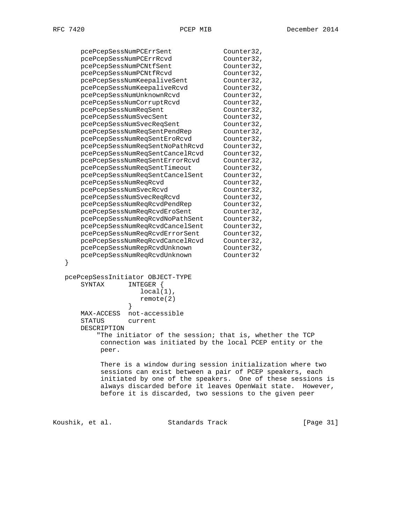|   | pcePcepSessNumPCErrSent                                                | Counter32,                                                 |
|---|------------------------------------------------------------------------|------------------------------------------------------------|
|   | pcePcepSessNumPCErrRcvd                                                | Counter32,                                                 |
|   | pcePcepSessNumPCNtfSent                                                | Counter32,                                                 |
|   | pcePcepSessNumPCNtfRcvd                                                | Counter32,                                                 |
|   | pcePcepSessNumKeepaliveSent                                            | Counter32,                                                 |
|   | pcePcepSessNumKeepaliveRcvd                                            | Counter32,                                                 |
|   | pcePcepSessNumUnknownRcvd                                              | Counter32,                                                 |
|   | pcePcepSessNumCorruptRcvd                                              | Counter32,                                                 |
|   | pcePcepSessNumReqSent                                                  | Counter32,                                                 |
|   | pcePcepSessNumSvecSent                                                 | Counter32,                                                 |
|   | pcePcepSessNumSvecReqSent                                              | Counter32,                                                 |
|   | pcePcepSessNumReqSentPendRep                                           | Counter32,                                                 |
|   | pcePcepSessNumReqSentEroRcvd                                           | Counter32,                                                 |
|   | pcePcepSessNumReqSentNoPathRcvd                                        | Counter32,                                                 |
|   | pcePcepSessNumReqSentCancelRcvd                                        | Counter32,                                                 |
|   | pcePcepSessNumReqSentErrorRcvd                                         | Counter32,                                                 |
|   | pcePcepSessNumReqSentTimeout                                           | Counter32,                                                 |
|   | pcePcepSessNumReqSentCancelSent                                        | Counter32,                                                 |
|   | pcePcepSessNumReqRcvd                                                  | Counter32,                                                 |
|   | pcePcepSessNumSvecRcvd                                                 | Counter32,                                                 |
|   | pcePcepSessNumSvecReqRcvd                                              | Counter32,                                                 |
|   | pcePcepSessNumReqRcvdPendRep                                           | Counter32,                                                 |
|   | pcePcepSessNumReqRcvdEroSent                                           | Counter32,                                                 |
|   | pcePcepSessNumReqRcvdNoPathSent                                        | Counter32,                                                 |
|   | pcePcepSessNumReqRcvdCancelSent                                        | Counter32,                                                 |
|   | pcePcepSessNumReqRcvdErrorSent                                         | Counter32,                                                 |
|   | pcePcepSessNumReqRcvdCancelRcvd                                        | Counter32,                                                 |
|   | pcePcepSessNumRepRcvdUnknown                                           | Counter32,                                                 |
|   | pcePcepSessNumReqRcvdUnknown                                           | Counter32                                                  |
| } |                                                                        |                                                            |
|   | pcePcepSessInitiator OBJECT-TYPE<br>SYNTAX<br>INTEGER {                |                                                            |
|   | $local(1)$ ,                                                           |                                                            |
|   | remote(2)                                                              |                                                            |
|   |                                                                        |                                                            |
|   | not-accessible<br>MAX-ACCESS<br>current                                |                                                            |
|   | STATUS                                                                 |                                                            |
|   | DESCRIPTION<br>"The initiator of the session; that is, whether the TCP |                                                            |
|   | connection was initiated by the local PCEP entity or the               |                                                            |
|   |                                                                        |                                                            |
|   | peer.                                                                  |                                                            |
|   | There is a window during session initialization where two              |                                                            |
|   | sessions can exist between a pair of PCEP speakers, each               |                                                            |
|   |                                                                        | initiated by one of the speakers. One of these sessions is |
|   | always discarded before it leaves OpenWait state.                      | However,                                                   |
|   | before it is discarded, two sessions to the given peer                 |                                                            |
|   |                                                                        |                                                            |

Koushik, et al. Standards Track [Page 31]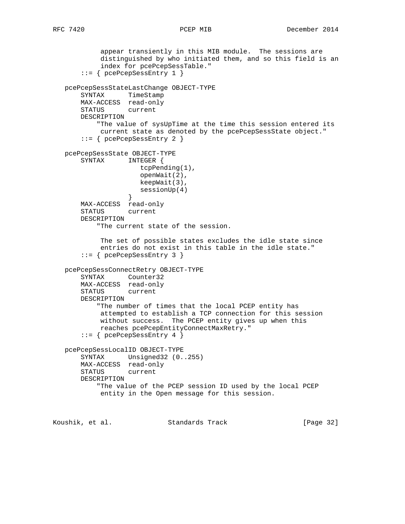```
 appear transiently in this MIB module. The sessions are
            distinguished by who initiated them, and so this field is an
            index for pcePcepSessTable."
        ::= { pcePcepSessEntry 1 }
   pcePcepSessStateLastChange OBJECT-TYPE
        SYNTAX TimeStamp
       MAX-ACCESS read-only
       STATUS current
       DESCRIPTION
            "The value of sysUpTime at the time this session entered its
            current state as denoted by the pcePcepSessState object."
        ::= { pcePcepSessEntry 2 }
   pcePcepSessState OBJECT-TYPE
       SYNTAX INTEGER {
                      tcpPending(1),
                      openWait(2),
                      keepWait(3),
                   sessionUp(4)<br>}
 }
       MAX-ACCESS read-only
       STATUS current
       DESCRIPTION
            "The current state of the session.
            The set of possible states excludes the idle state since
            entries do not exist in this table in the idle state."
        ::= { pcePcepSessEntry 3 }
    pcePcepSessConnectRetry OBJECT-TYPE
       SYNTAX Counter32
       MAX-ACCESS read-only
       STATUS current
       DESCRIPTION
            "The number of times that the local PCEP entity has
            attempted to establish a TCP connection for this session
            without success. The PCEP entity gives up when this
            reaches pcePcepEntityConnectMaxRetry."
       ::= { pcePcepSessEntry 4 }
   pcePcepSessLocalID OBJECT-TYPE
       SYNTAX Unsigned32 (0..255)
       MAX-ACCESS read-only
       STATUS current
       DESCRIPTION
            "The value of the PCEP session ID used by the local PCEP
            entity in the Open message for this session.
Koushik, et al.                 Standards Track                 [Page 32]
```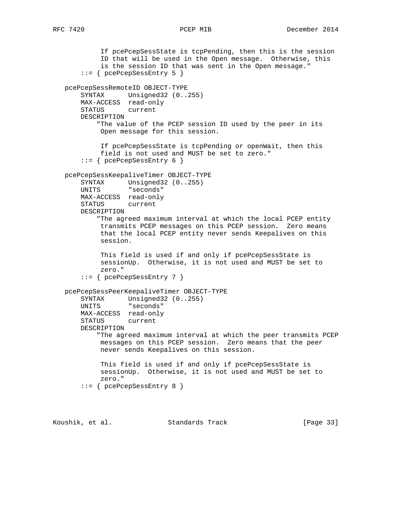```
 If pcePcepSessState is tcpPending, then this is the session
          ID that will be used in the Open message. Otherwise, this
          is the session ID that was sent in the Open message."
     ::= { pcePcepSessEntry 5 }
 pcePcepSessRemoteID OBJECT-TYPE
     SYNTAX Unsigned32 (0..255)
    MAX-ACCESS read-only
    STATUS current
    DESCRIPTION
         "The value of the PCEP session ID used by the peer in its
         Open message for this session.
          If pcePcepSessState is tcpPending or openWait, then this
          field is not used and MUST be set to zero."
     ::= { pcePcepSessEntry 6 }
 pcePcepSessKeepaliveTimer OBJECT-TYPE
     SYNTAX Unsigned32 (0..255)
    UNITS "seconds"
    MAX-ACCESS read-only
    STATUS current
    DESCRIPTION
         "The agreed maximum interval at which the local PCEP entity
         transmits PCEP messages on this PCEP session. Zero means
         that the local PCEP entity never sends Keepalives on this
         session.
          This field is used if and only if pcePcepSessState is
          sessionUp. Otherwise, it is not used and MUST be set to
          zero."
     ::= { pcePcepSessEntry 7 }
 pcePcepSessPeerKeepaliveTimer OBJECT-TYPE
     SYNTAX Unsigned32 (0..255)
     UNITS "seconds"
    MAX-ACCESS read-only
     STATUS current
    DESCRIPTION
         "The agreed maximum interval at which the peer transmits PCEP
         messages on this PCEP session. Zero means that the peer
         never sends Keepalives on this session.
          This field is used if and only if pcePcepSessState is
          sessionUp. Otherwise, it is not used and MUST be set to
          zero."
     ::= { pcePcepSessEntry 8 }
```
Koushik, et al. Standards Track [Page 33]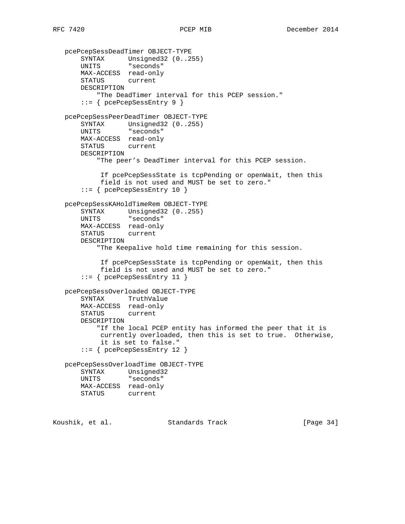```
 pcePcepSessDeadTimer OBJECT-TYPE
 SYNTAX Unsigned32 (0..255)
 UNITS "seconds"
       MAX-ACCESS read-only
       STATUS current
       DESCRIPTION
           "The DeadTimer interval for this PCEP session."
        ::= { pcePcepSessEntry 9 }
   pcePcepSessPeerDeadTimer OBJECT-TYPE
       SYNTAX Unsigned32 (0..255)
       UNITS "seconds"
       MAX-ACCESS read-only
       STATUS current
       DESCRIPTION
           "The peer's DeadTimer interval for this PCEP session.
            If pcePcepSessState is tcpPending or openWait, then this
            field is not used and MUST be set to zero."
        ::= { pcePcepSessEntry 10 }
   pcePcepSessKAHoldTimeRem OBJECT-TYPE
       SYNTAX Unsigned32 (0..255)
       UNITS "seconds"
       MAX-ACCESS read-only
       STATUS current
       DESCRIPTION
           "The Keepalive hold time remaining for this session.
            If pcePcepSessState is tcpPending or openWait, then this
            field is not used and MUST be set to zero."
        ::= { pcePcepSessEntry 11 }
   pcePcepSessOverloaded OBJECT-TYPE
       SYNTAX TruthValue
       MAX-ACCESS read-only
       STATUS current
       DESCRIPTION
           "If the local PCEP entity has informed the peer that it is
            currently overloaded, then this is set to true. Otherwise,
            it is set to false."
        ::= { pcePcepSessEntry 12 }
   pcePcepSessOverloadTime OBJECT-TYPE
       SYNTAX Unsigned32
       UNITS "seconds"
       MAX-ACCESS read-only
       STATUS current
Koushik, et al.                 Standards Track                 [Page 34]
```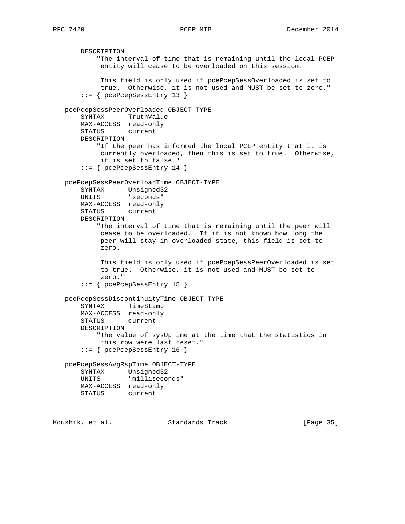DESCRIPTION "The interval of time that is remaining until the local PCEP entity will cease to be overloaded on this session. This field is only used if pcePcepSessOverloaded is set to true. Otherwise, it is not used and MUST be set to zero." ::= { pcePcepSessEntry 13 } pcePcepSessPeerOverloaded OBJECT-TYPE SYNTAX TruthValue MAX-ACCESS read-only STATUS current DESCRIPTION "If the peer has informed the local PCEP entity that it is currently overloaded, then this is set to true. Otherwise, it is set to false." ::= { pcePcepSessEntry 14 } pcePcepSessPeerOverloadTime OBJECT-TYPE SYNTAX Unsigned32 UNITS "seconds" MAX-ACCESS read-only STATUS current DESCRIPTION "The interval of time that is remaining until the peer will cease to be overloaded. If it is not known how long the peer will stay in overloaded state, this field is set to zero. This field is only used if pcePcepSessPeerOverloaded is set to true. Otherwise, it is not used and MUST be set to zero." ::= { pcePcepSessEntry 15 } pcePcepSessDiscontinuityTime OBJECT-TYPE SYNTAX TimeStamp MAX-ACCESS read-only STATUS current DESCRIPTION "The value of sysUpTime at the time that the statistics in this row were last reset." ::= { pcePcepSessEntry 16 } pcePcepSessAvgRspTime OBJECT-TYPE SYNTAX Unsigned32 UNITS "milliseconds" MAX-ACCESS read-only STATUS current Koushik, et al. Standards Track [Page 35]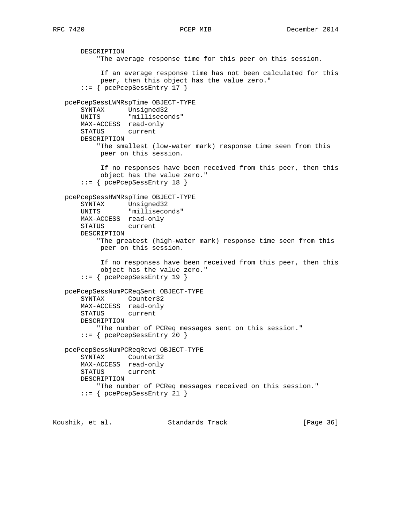DESCRIPTION "The average response time for this peer on this session. If an average response time has not been calculated for this peer, then this object has the value zero." ::= { pcePcepSessEntry 17 } pcePcepSessLWMRspTime OBJECT-TYPE SYNTAX Unsigned32 UNITS "milliseconds" MAX-ACCESS read-only STATUS current DESCRIPTION "The smallest (low-water mark) response time seen from this peer on this session. If no responses have been received from this peer, then this object has the value zero." ::= { pcePcepSessEntry 18 } pcePcepSessHWMRspTime OBJECT-TYPE SYNTAX Unsigned32 UNITS "milliseconds" MAX-ACCESS read-only STATUS current DESCRIPTION "The greatest (high-water mark) response time seen from this peer on this session. If no responses have been received from this peer, then this object has the value zero." ::= { pcePcepSessEntry 19 } pcePcepSessNumPCReqSent OBJECT-TYPE SYNTAX Counter32 MAX-ACCESS read-only STATUS current DESCRIPTION "The number of PCReq messages sent on this session." ::= { pcePcepSessEntry 20 } pcePcepSessNumPCReqRcvd OBJECT-TYPE SYNTAX Counter32 MAX-ACCESS read-only STATUS current DESCRIPTION "The number of PCReq messages received on this session." ::= { pcePcepSessEntry 21 }

Koushik, et al. Standards Track [Page 36]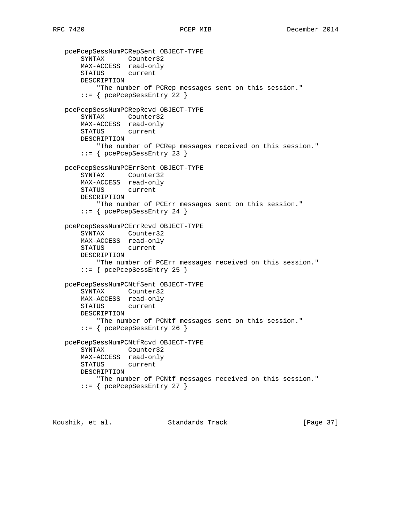```
 pcePcepSessNumPCRepSent OBJECT-TYPE
 SYNTAX Counter32
 MAX-ACCESS read-only
       STATUS current
       DESCRIPTION
           "The number of PCRep messages sent on this session."
       ::= { pcePcepSessEntry 22 }
   pcePcepSessNumPCRepRcvd OBJECT-TYPE
       SYNTAX Counter32
       MAX-ACCESS read-only
       STATUS current
       DESCRIPTION
          "The number of PCRep messages received on this session."
       ::= { pcePcepSessEntry 23 }
   pcePcepSessNumPCErrSent OBJECT-TYPE
       SYNTAX Counter32
       MAX-ACCESS read-only
       STATUS current
       DESCRIPTION
           "The number of PCErr messages sent on this session."
       ::= { pcePcepSessEntry 24 }
   pcePcepSessNumPCErrRcvd OBJECT-TYPE
 SYNTAX Counter32
 MAX-ACCESS read-only
       STATUS current
       DESCRIPTION
           "The number of PCErr messages received on this session."
       ::= { pcePcepSessEntry 25 }
   pcePcepSessNumPCNtfSent OBJECT-TYPE
       SYNTAX Counter32
       MAX-ACCESS read-only
       STATUS current
       DESCRIPTION
           "The number of PCNtf messages sent on this session."
       ::= { pcePcepSessEntry 26 }
   pcePcepSessNumPCNtfRcvd OBJECT-TYPE
       SYNTAX Counter32
       MAX-ACCESS read-only
       STATUS current
       DESCRIPTION
           "The number of PCNtf messages received on this session."
       ::= { pcePcepSessEntry 27 }
```
Koushik, et al. Standards Track [Page 37]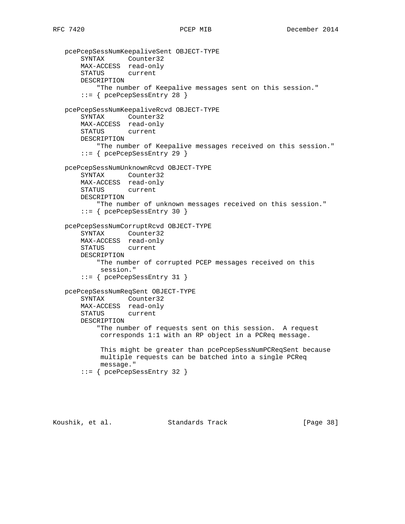```
 pcePcepSessNumKeepaliveSent OBJECT-TYPE
       SYNTAX Counter32
       MAX-ACCESS read-only
       STATUS current
       DESCRIPTION
           "The number of Keepalive messages sent on this session."
       ::= { pcePcepSessEntry 28 }
   pcePcepSessNumKeepaliveRcvd OBJECT-TYPE
       SYNTAX Counter32
       MAX-ACCESS read-only
       STATUS current
       DESCRIPTION
          "The number of Keepalive messages received on this session."
       ::= { pcePcepSessEntry 29 }
   pcePcepSessNumUnknownRcvd OBJECT-TYPE
       SYNTAX Counter32
       MAX-ACCESS read-only
       STATUS current
       DESCRIPTION
           "The number of unknown messages received on this session."
       ::= { pcePcepSessEntry 30 }
   pcePcepSessNumCorruptRcvd OBJECT-TYPE
 SYNTAX Counter32
 MAX-ACCESS read-only
       STATUS current
       DESCRIPTION
           "The number of corrupted PCEP messages received on this
            session."
       ::= { pcePcepSessEntry 31 }
   pcePcepSessNumReqSent OBJECT-TYPE
       SYNTAX Counter32
       MAX-ACCESS read-only
       STATUS current
       DESCRIPTION
           "The number of requests sent on this session. A request
            corresponds 1:1 with an RP object in a PCReq message.
            This might be greater than pcePcepSessNumPCReqSent because
            multiple requests can be batched into a single PCReq
            message."
       ::= { pcePcepSessEntry 32 }
```
Koushik, et al. Standards Track [Page 38]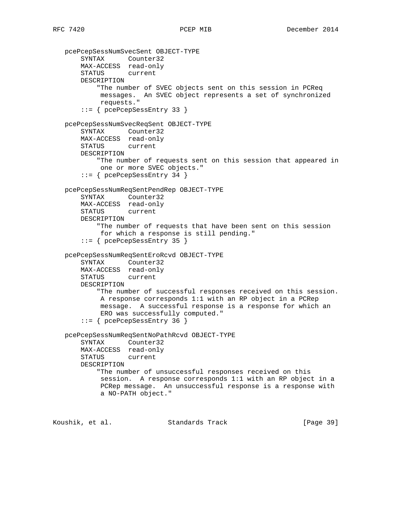```
 pcePcepSessNumSvecSent OBJECT-TYPE
 SYNTAX Counter32
 MAX-ACCESS read-only
       STATUS current
       DESCRIPTION
           "The number of SVEC objects sent on this session in PCReq
            messages. An SVEC object represents a set of synchronized
            requests."
       ::= { pcePcepSessEntry 33 }
   pcePcepSessNumSvecReqSent OBJECT-TYPE
       SYNTAX Counter32
       MAX-ACCESS read-only
       STATUS current
       DESCRIPTION
           "The number of requests sent on this session that appeared in
            one or more SVEC objects."
       ::= { pcePcepSessEntry 34 }
   pcePcepSessNumReqSentPendRep OBJECT-TYPE
       SYNTAX Counter32
       MAX-ACCESS read-only
       STATUS current
       DESCRIPTION
           "The number of requests that have been sent on this session
            for which a response is still pending."
       ::= { pcePcepSessEntry 35 }
   pcePcepSessNumReqSentEroRcvd OBJECT-TYPE
       SYNTAX Counter32
       MAX-ACCESS read-only
       STATUS current
       DESCRIPTION
           "The number of successful responses received on this session.
            A response corresponds 1:1 with an RP object in a PCRep
            message. A successful response is a response for which an
            ERO was successfully computed."
       ::= { pcePcepSessEntry 36 }
   pcePcepSessNumReqSentNoPathRcvd OBJECT-TYPE
       SYNTAX Counter32
       MAX-ACCESS read-only
       STATUS current
       DESCRIPTION
           "The number of unsuccessful responses received on this
            session. A response corresponds 1:1 with an RP object in a
            PCRep message. An unsuccessful response is a response with
            a NO-PATH object."
```
Koushik, et al. Standards Track [Page 39]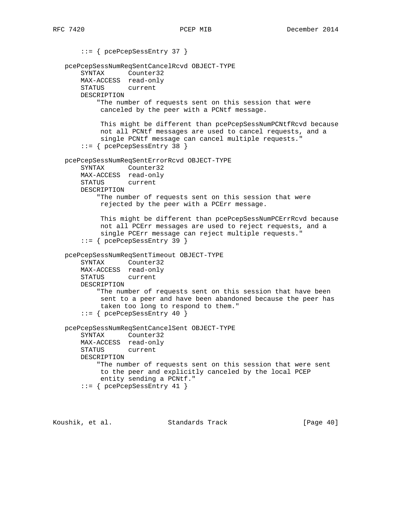::= { pcePcepSessEntry 37 } pcePcepSessNumReqSentCancelRcvd OBJECT-TYPE SYNTAX Counter32 MAX-ACCESS read-only STATUS current DESCRIPTION "The number of requests sent on this session that were canceled by the peer with a PCNtf message. This might be different than pcePcepSessNumPCNtfRcvd because not all PCNtf messages are used to cancel requests, and a single PCNtf message can cancel multiple requests." ::= { pcePcepSessEntry 38 } pcePcepSessNumReqSentErrorRcvd OBJECT-TYPE SYNTAX Counter32 MAX-ACCESS read-only STATUS current DESCRIPTION "The number of requests sent on this session that were rejected by the peer with a PCErr message. This might be different than pcePcepSessNumPCErrRcvd because not all PCErr messages are used to reject requests, and a single PCErr message can reject multiple requests." ::= { pcePcepSessEntry 39 } pcePcepSessNumReqSentTimeout OBJECT-TYPE SYNTAX Counter32 MAX-ACCESS read-only STATUS current DESCRIPTION "The number of requests sent on this session that have been sent to a peer and have been abandoned because the peer has taken too long to respond to them." ::= { pcePcepSessEntry 40 } pcePcepSessNumReqSentCancelSent OBJECT-TYPE SYNTAX Counter32 MAX-ACCESS read-only STATUS current DESCRIPTION "The number of requests sent on this session that were sent to the peer and explicitly canceled by the local PCEP entity sending a PCNtf." ::= { pcePcepSessEntry 41 }

Koushik, et al. Standards Track [Page 40]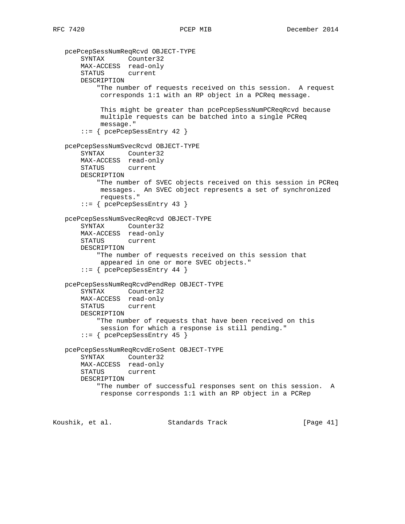```
 pcePcepSessNumReqRcvd OBJECT-TYPE
     SYNTAX Counter32
     MAX-ACCESS read-only
     STATUS current
     DESCRIPTION
         "The number of requests received on this session. A request
          corresponds 1:1 with an RP object in a PCReq message.
          This might be greater than pcePcepSessNumPCReqRcvd because
          multiple requests can be batched into a single PCReq
          message."
     ::= { pcePcepSessEntry 42 }
 pcePcepSessNumSvecRcvd OBJECT-TYPE
     SYNTAX Counter32
     MAX-ACCESS read-only
     STATUS current
     DESCRIPTION
         "The number of SVEC objects received on this session in PCReq
         messages. An SVEC object represents a set of synchronized
         requests."
     ::= { pcePcepSessEntry 43 }
 pcePcepSessNumSvecReqRcvd OBJECT-TYPE
     SYNTAX Counter32
     MAX-ACCESS read-only
     STATUS current
     DESCRIPTION
         "The number of requests received on this session that
         appeared in one or more SVEC objects."
     ::= { pcePcepSessEntry 44 }
 pcePcepSessNumReqRcvdPendRep OBJECT-TYPE
     SYNTAX Counter32
     MAX-ACCESS read-only
     STATUS current
     DESCRIPTION
         "The number of requests that have been received on this
          session for which a response is still pending."
     ::= { pcePcepSessEntry 45 }
 pcePcepSessNumReqRcvdEroSent OBJECT-TYPE
     SYNTAX Counter32
     MAX-ACCESS read-only
     STATUS current
     DESCRIPTION
         "The number of successful responses sent on this session. A
         response corresponds 1:1 with an RP object in a PCRep
```
Koushik, et al. Standards Track [Page 41]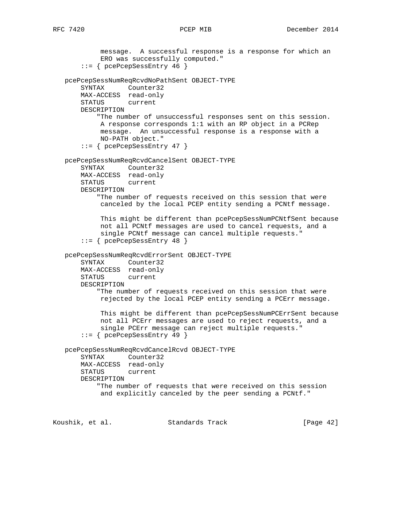message. A successful response is a response for which an ERO was successfully computed." ::= { pcePcepSessEntry 46 } pcePcepSessNumReqRcvdNoPathSent OBJECT-TYPE SYNTAX Counter32 MAX-ACCESS read-only STATUS current DESCRIPTION "The number of unsuccessful responses sent on this session. A response corresponds 1:1 with an RP object in a PCRep message. An unsuccessful response is a response with a NO-PATH object." ::= { pcePcepSessEntry 47 } pcePcepSessNumReqRcvdCancelSent OBJECT-TYPE SYNTAX Counter32 MAX-ACCESS read-only STATUS current DESCRIPTION "The number of requests received on this session that were canceled by the local PCEP entity sending a PCNtf message. This might be different than pcePcepSessNumPCNtfSent because not all PCNtf messages are used to cancel requests, and a single PCNtf message can cancel multiple requests." ::= { pcePcepSessEntry 48 } pcePcepSessNumReqRcvdErrorSent OBJECT-TYPE SYNTAX Counter32 MAX-ACCESS read-only STATUS current DESCRIPTION "The number of requests received on this session that were rejected by the local PCEP entity sending a PCErr message. This might be different than pcePcepSessNumPCErrSent because not all PCErr messages are used to reject requests, and a single PCErr message can reject multiple requests." ::= { pcePcepSessEntry 49 } pcePcepSessNumReqRcvdCancelRcvd OBJECT-TYPE SYNTAX Counter32 MAX-ACCESS read-only STATUS current DESCRIPTION "The number of requests that were received on this session and explicitly canceled by the peer sending a PCNtf."

Koushik, et al. Standards Track [Page 42]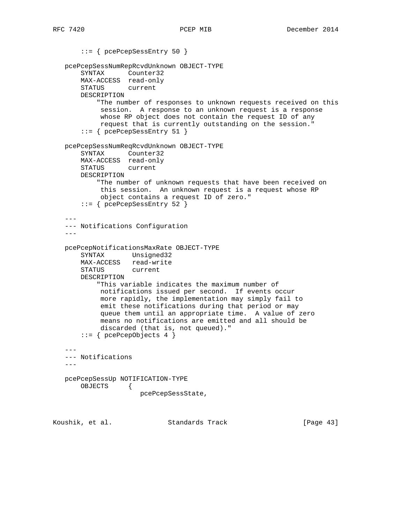::= { pcePcepSessEntry 50 } pcePcepSessNumRepRcvdUnknown OBJECT-TYPE SYNTAX Counter32 MAX-ACCESS read-only STATUS current DESCRIPTION "The number of responses to unknown requests received on this session. A response to an unknown request is a response whose RP object does not contain the request ID of any request that is currently outstanding on the session." ::= { pcePcepSessEntry 51 } pcePcepSessNumReqRcvdUnknown OBJECT-TYPE SYNTAX Counter32 MAX-ACCESS read-only STATUS current DESCRIPTION "The number of unknown requests that have been received on this session. An unknown request is a request whose RP object contains a request ID of zero." ::= { pcePcepSessEntry 52 } --- --- Notifications Configuration -- pcePcepNotificationsMaxRate OBJECT-TYPE SYNTAX Unsigned32 MAX-ACCESS read-write STATUS current DESCRIPTION "This variable indicates the maximum number of notifications issued per second. If events occur more rapidly, the implementation may simply fail to emit these notifications during that period or may queue them until an appropriate time. A value of zero means no notifications are emitted and all should be discarded (that is, not queued)."  $::=$  { pcePcepObjects 4 } --- --- Notifications  $--$  pcePcepSessUp NOTIFICATION-TYPE OBJECTS { pcePcepSessState,

Koushik, et al. Standards Track [Page 43]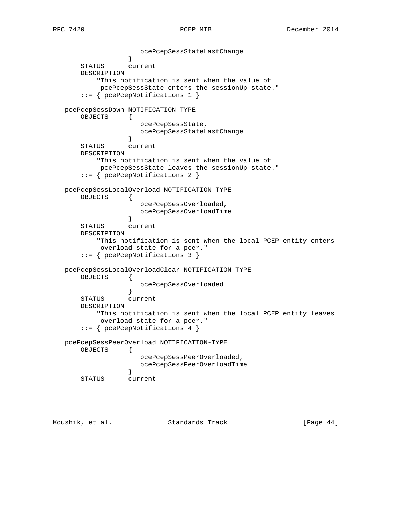pcePcepSessStateLastChange } STATUS current DESCRIPTION "This notification is sent when the value of pcePcepSessState enters the sessionUp state." ::= { pcePcepNotifications 1 } pcePcepSessDown NOTIFICATION-TYPE OBJECTS { pcePcepSessState, pcePcepSessStateLastChange } STATUS current DESCRIPTION "This notification is sent when the value of pcePcepSessState leaves the sessionUp state." ::= { pcePcepNotifications 2 } pcePcepSessLocalOverload NOTIFICATION-TYPE OBJECTS { pcePcepSessOverloaded, pcePcepSessOverloadTime<br>} } STATUS current DESCRIPTION "This notification is sent when the local PCEP entity enters overload state for a peer." ::= { pcePcepNotifications 3 } pcePcepSessLocalOverloadClear NOTIFICATION-TYPE OBJECTS { pcePcepSessOverloaded } STATUS current DESCRIPTION "This notification is sent when the local PCEP entity leaves overload state for a peer." ::= { pcePcepNotifications 4 } pcePcepSessPeerOverload NOTIFICATION-TYPE OBJECTS { pcePcepSessPeerOverloaded, pcePcepSessPeerOverloadTime } STATUS current

Koushik, et al. Standards Track [Page 44]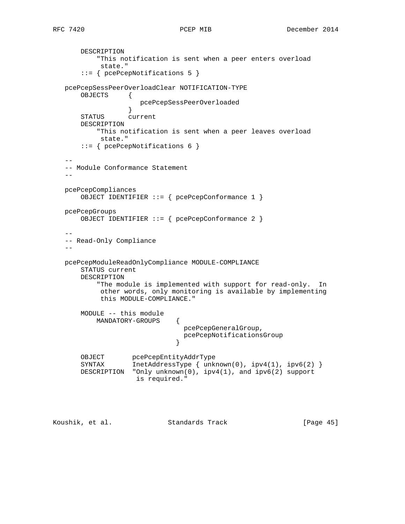```
 DESCRIPTION
           "This notification is sent when a peer enters overload
            state."
       ::= { pcePcepNotifications 5 }
   pcePcepSessPeerOverloadClear NOTIFICATION-TYPE
       OBJECTS {
                      pcePcepSessPeerOverloaded
 }
       STATUS current
       DESCRIPTION
           "This notification is sent when a peer leaves overload
            state."
       ::= { pcePcepNotifications 6 }
 --
   -- Module Conformance Statement
- pcePcepCompliances
       OBJECT IDENTIFIER ::= { pcePcepConformance 1 }
   pcePcepGroups
       OBJECT IDENTIFIER ::= { pcePcepConformance 2 }
 --
   -- Read-Only Compliance
 --
   pcePcepModuleReadOnlyCompliance MODULE-COMPLIANCE
       STATUS current
       DESCRIPTION
           "The module is implemented with support for read-only. In
            other words, only monitoring is available by implementing
            this MODULE-COMPLIANCE."
       MODULE -- this module
           MANDATORY-GROUPS {
                                 pcePcepGeneralGroup,
                              pcePcepNotificationsGroup<br>}
 }
      OBJECT pcePcepEntityAddrType<br>SYNTAX InetAddressType { unk
                  InetAddressType \{ unknown(0), ipv4(1), ipv6(2) \} DESCRIPTION "Only unknown(0), ipv4(1), and ipv6(2) support
                    is required."
```
Koushik, et al. Standards Track [Page 45]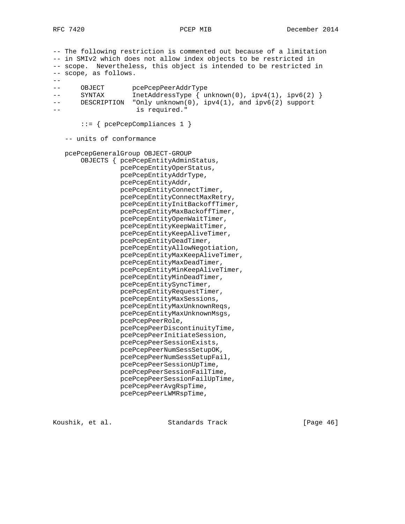-- The following restriction is commented out because of a limitation -- in SMIv2 which does not allow index objects to be restricted in -- scope. Nevertheless, this object is intended to be restricted in -- scope, as follows.  $--$ -- OBJECT pcePcepPeerAddrType<br>-- SYNTAX InetAddressType { u -- SYNTAX InetAddressType { unknown(0), ipv4(1), ipv6(2) } -- DESCRIPTION "Only unknown(0), ipv4(1), and ipv6(2) support -- is required." ::= { pcePcepCompliances 1 } -- units of conformance pcePcepGeneralGroup OBJECT-GROUP OBJECTS { pcePcepEntityAdminStatus, pcePcepEntityOperStatus, pcePcepEntityAddrType, pcePcepEntityAddr, pcePcepEntityConnectTimer, pcePcepEntityConnectMaxRetry, pcePcepEntityInitBackoffTimer, pcePcepEntityMaxBackoffTimer, pcePcepEntityOpenWaitTimer, pcePcepEntityKeepWaitTimer, pcePcepEntityKeepAliveTimer, pcePcepEntityDeadTimer, pcePcepEntityAllowNegotiation, pcePcepEntityMaxKeepAliveTimer, pcePcepEntityMaxDeadTimer, pcePcepEntityMinKeepAliveTimer, pcePcepEntityMinDeadTimer, pcePcepEntitySyncTimer, pcePcepEntityRequestTimer, pcePcepEntityMaxSessions, pcePcepEntityMaxUnknownReqs, pcePcepEntityMaxUnknownMsgs, pcePcepPeerRole, pcePcepPeerDiscontinuityTime, pcePcepPeerInitiateSession, pcePcepPeerSessionExists, pcePcepPeerNumSessSetupOK, pcePcepPeerNumSessSetupFail, pcePcepPeerSessionUpTime, pcePcepPeerSessionFailTime, pcePcepPeerSessionFailUpTime, pcePcepPeerAvgRspTime, pcePcepPeerLWMRspTime,

Koushik, et al. Standards Track [Paqe 46]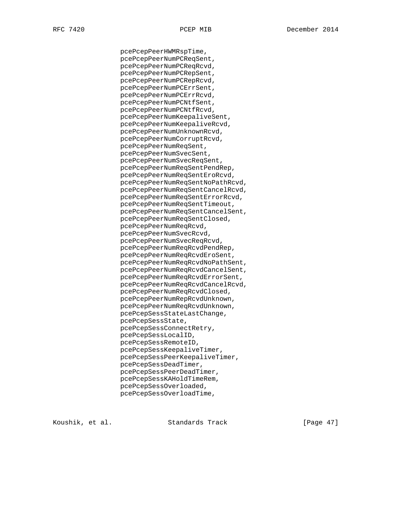pcePcepPeerHWMRspTime, pcePcepPeerNumPCReqSent, pcePcepPeerNumPCReqRcvd, pcePcepPeerNumPCRepSent, pcePcepPeerNumPCRepRcvd, pcePcepPeerNumPCErrSent, pcePcepPeerNumPCErrRcvd, pcePcepPeerNumPCNtfSent, pcePcepPeerNumPCNtfRcvd, pcePcepPeerNumKeepaliveSent, pcePcepPeerNumKeepaliveRcvd, pcePcepPeerNumUnknownRcvd, pcePcepPeerNumCorruptRcvd, pcePcepPeerNumReqSent, pcePcepPeerNumSvecSent, pcePcepPeerNumSvecReqSent, pcePcepPeerNumReqSentPendRep, pcePcepPeerNumReqSentEroRcvd, pcePcepPeerNumReqSentNoPathRcvd, pcePcepPeerNumReqSentCancelRcvd, pcePcepPeerNumReqSentErrorRcvd, pcePcepPeerNumReqSentTimeout, pcePcepPeerNumReqSentCancelSent, pcePcepPeerNumReqSentClosed, pcePcepPeerNumReqRcvd, pcePcepPeerNumSvecRcvd, pcePcepPeerNumSvecReqRcvd, pcePcepPeerNumReqRcvdPendRep, pcePcepPeerNumReqRcvdEroSent, pcePcepPeerNumReqRcvdNoPathSent, pcePcepPeerNumReqRcvdCancelSent, pcePcepPeerNumReqRcvdErrorSent, pcePcepPeerNumReqRcvdCancelRcvd, pcePcepPeerNumReqRcvdClosed, pcePcepPeerNumRepRcvdUnknown, pcePcepPeerNumReqRcvdUnknown, pcePcepSessStateLastChange, pcePcepSessState, pcePcepSessConnectRetry, pcePcepSessLocalID, pcePcepSessRemoteID, pcePcepSessKeepaliveTimer, pcePcepSessPeerKeepaliveTimer, pcePcepSessDeadTimer, pcePcepSessPeerDeadTimer, pcePcepSessKAHoldTimeRem, pcePcepSessOverloaded, pcePcepSessOverloadTime,

Koushik, et al. Standards Track [Paqe 47]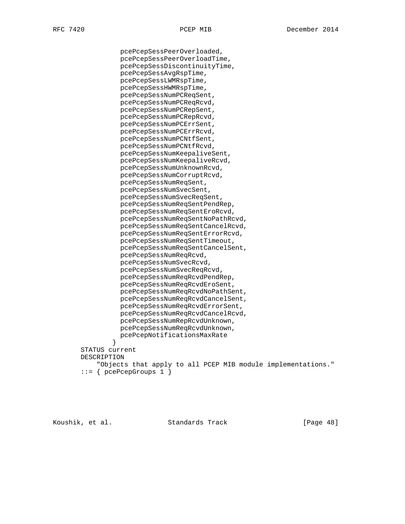pcePcepSessPeerOverloaded, pcePcepSessPeerOverloadTime, pcePcepSessDiscontinuityTime, pcePcepSessAvgRspTime, pcePcepSessLWMRspTime, pcePcepSessHWMRspTime, pcePcepSessNumPCReqSent, pcePcepSessNumPCReqRcvd, pcePcepSessNumPCRepSent, pcePcepSessNumPCRepRcvd, pcePcepSessNumPCErrSent, pcePcepSessNumPCErrRcvd, pcePcepSessNumPCNtfSent, pcePcepSessNumPCNtfRcvd, pcePcepSessNumKeepaliveSent, pcePcepSessNumKeepaliveRcvd, pcePcepSessNumUnknownRcvd, pcePcepSessNumCorruptRcvd, pcePcepSessNumReqSent, pcePcepSessNumSvecSent, pcePcepSessNumSvecReqSent, pcePcepSessNumReqSentPendRep, pcePcepSessNumReqSentEroRcvd, pcePcepSessNumReqSentNoPathRcvd, pcePcepSessNumReqSentCancelRcvd, pcePcepSessNumReqSentErrorRcvd, pcePcepSessNumReqSentTimeout, pcePcepSessNumReqSentCancelSent, pcePcepSessNumReqRcvd, pcePcepSessNumSvecRcvd, pcePcepSessNumSvecReqRcvd, pcePcepSessNumReqRcvdPendRep, pcePcepSessNumReqRcvdEroSent, pcePcepSessNumReqRcvdNoPathSent, pcePcepSessNumReqRcvdCancelSent, pcePcepSessNumReqRcvdErrorSent, pcePcepSessNumReqRcvdCancelRcvd, pcePcepSessNumRepRcvdUnknown, pcePcepSessNumReqRcvdUnknown, pcePcepNotificationsMaxRate } STATUS current DESCRIPTION "Objects that apply to all PCEP MIB module implementations."  $::=$  { pcePcepGroups 1 }

Koushik, et al. Standards Track [Paqe 48]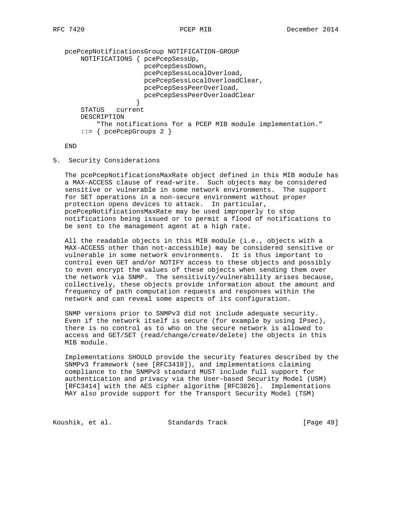```
 pcePcepNotificationsGroup NOTIFICATION-GROUP
       NOTIFICATIONS { pcePcepSessUp,
                       pcePcepSessDown,
                       pcePcepSessLocalOverload,
                       pcePcepSessLocalOverloadClear,
                       pcePcepSessPeerOverload,
                       pcePcepSessPeerOverloadClear
 }
       STATUS current
       DESCRIPTION
           "The notifications for a PCEP MIB module implementation."
       ::= { pcePcepGroups 2 }
```
END

5. Security Considerations

 The pcePcepNotificationsMaxRate object defined in this MIB module has a MAX-ACCESS clause of read-write. Such objects may be considered sensitive or vulnerable in some network environments. The support for SET operations in a non-secure environment without proper protection opens devices to attack. In particular, pcePcepNotificationsMaxRate may be used improperly to stop notifications being issued or to permit a flood of notifications to be sent to the management agent at a high rate.

 All the readable objects in this MIB module (i.e., objects with a MAX-ACCESS other than not-accessible) may be considered sensitive or vulnerable in some network environments. It is thus important to control even GET and/or NOTIFY access to these objects and possibly to even encrypt the values of these objects when sending them over the network via SNMP. The sensitivity/vulnerability arises because, collectively, these objects provide information about the amount and frequency of path computation requests and responses within the network and can reveal some aspects of its configuration.

 SNMP versions prior to SNMPv3 did not include adequate security. Even if the network itself is secure (for example by using IPsec), there is no control as to who on the secure network is allowed to access and GET/SET (read/change/create/delete) the objects in this MIB module.

 Implementations SHOULD provide the security features described by the SNMPv3 framework (see [RFC3410]), and implementations claiming compliance to the SNMPv3 standard MUST include full support for authentication and privacy via the User-based Security Model (USM) [RFC3414] with the AES cipher algorithm [RFC3826]. Implementations MAY also provide support for the Transport Security Model (TSM)

Koushik, et al. Standards Track [Page 49]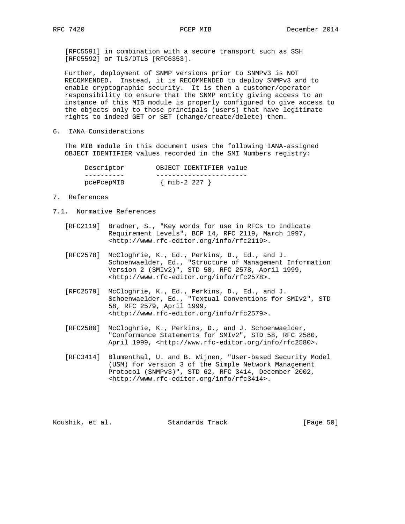[RFC5591] in combination with a secure transport such as SSH [RFC5592] or TLS/DTLS [RFC6353].

 Further, deployment of SNMP versions prior to SNMPv3 is NOT RECOMMENDED. Instead, it is RECOMMENDED to deploy SNMPv3 and to enable cryptographic security. It is then a customer/operator responsibility to ensure that the SNMP entity giving access to an instance of this MIB module is properly configured to give access to the objects only to those principals (users) that have legitimate rights to indeed GET or SET (change/create/delete) them.

6. IANA Considerations

 The MIB module in this document uses the following IANA-assigned OBJECT IDENTIFIER values recorded in the SMI Numbers registry:

| Descriptor | OBJECT IDENTIFIER value |
|------------|-------------------------|
|            |                         |
| pcePcepMIB | { mib-2 227 ,           |

- 7. References
- 7.1. Normative References
	- [RFC2119] Bradner, S., "Key words for use in RFCs to Indicate Requirement Levels", BCP 14, RFC 2119, March 1997, <http://www.rfc-editor.org/info/rfc2119>.
- [RFC2578] McCloghrie, K., Ed., Perkins, D., Ed., and J. Schoenwaelder, Ed., "Structure of Management Information Version 2 (SMIv2)", STD 58, RFC 2578, April 1999, <http://www.rfc-editor.org/info/rfc2578>.
	- [RFC2579] McCloghrie, K., Ed., Perkins, D., Ed., and J. Schoenwaelder, Ed., "Textual Conventions for SMIv2", STD 58, RFC 2579, April 1999, <http://www.rfc-editor.org/info/rfc2579>.
	- [RFC2580] McCloghrie, K., Perkins, D., and J. Schoenwaelder, "Conformance Statements for SMIv2", STD 58, RFC 2580, April 1999, <http://www.rfc-editor.org/info/rfc2580>.
	- [RFC3414] Blumenthal, U. and B. Wijnen, "User-based Security Model (USM) for version 3 of the Simple Network Management Protocol (SNMPv3)", STD 62, RFC 3414, December 2002, <http://www.rfc-editor.org/info/rfc3414>.

Koushik, et al. Standards Track [Page 50]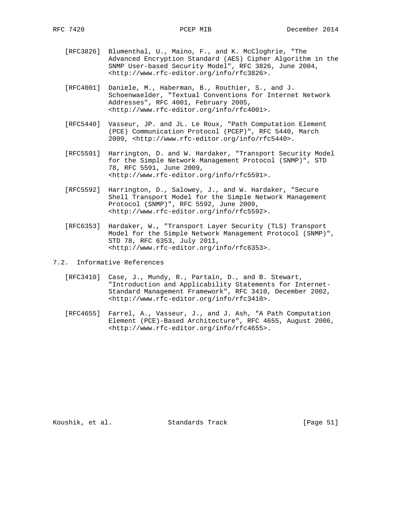- [RFC3826] Blumenthal, U., Maino, F., and K. McCloghrie, "The Advanced Encryption Standard (AES) Cipher Algorithm in the SNMP User-based Security Model", RFC 3826, June 2004, <http://www.rfc-editor.org/info/rfc3826>.
- [RFC4001] Daniele, M., Haberman, B., Routhier, S., and J. Schoenwaelder, "Textual Conventions for Internet Network Addresses", RFC 4001, February 2005, <http://www.rfc-editor.org/info/rfc4001>.
- [RFC5440] Vasseur, JP. and JL. Le Roux, "Path Computation Element (PCE) Communication Protocol (PCEP)", RFC 5440, March 2009, <http://www.rfc-editor.org/info/rfc5440>.
- [RFC5591] Harrington, D. and W. Hardaker, "Transport Security Model for the Simple Network Management Protocol (SNMP)", STD 78, RFC 5591, June 2009, <http://www.rfc-editor.org/info/rfc5591>.
- [RFC5592] Harrington, D., Salowey, J., and W. Hardaker, "Secure Shell Transport Model for the Simple Network Management Protocol (SNMP)", RFC 5592, June 2009, <http://www.rfc-editor.org/info/rfc5592>.
- [RFC6353] Hardaker, W., "Transport Layer Security (TLS) Transport Model for the Simple Network Management Protocol (SNMP)", STD 78, RFC 6353, July 2011, <http://www.rfc-editor.org/info/rfc6353>.
- 7.2. Informative References
	- [RFC3410] Case, J., Mundy, R., Partain, D., and B. Stewart, "Introduction and Applicability Statements for Internet- Standard Management Framework", RFC 3410, December 2002, <http://www.rfc-editor.org/info/rfc3410>.
	- [RFC4655] Farrel, A., Vasseur, J., and J. Ash, "A Path Computation Element (PCE)-Based Architecture", RFC 4655, August 2006, <http://www.rfc-editor.org/info/rfc4655>.

Koushik, et al. Standards Track [Page 51]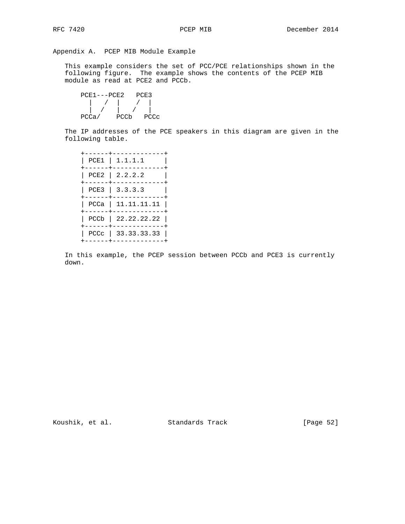Appendix A. PCEP MIB Module Example

 This example considers the set of PCC/PCE relationships shown in the following figure. The example shows the contents of the PCEP MIB module as read at PCE2 and PCCb.

 PCE1---PCE2 PCE3 | / | / | | / | / | PCCa/ PCCb PCCc

 The IP addresses of the PCE speakers in this diagram are given in the following table.

|  | $PCE1$   1.1.1.1     |
|--|----------------------|
|  | $PCE2$   2.2.2.2     |
|  | $PCE3$   3.3.3.3     |
|  | PCCa   11.11.11.11   |
|  | $PCCb$   22.22.22.22 |
|  | PCCc   $33.33.33.33$ |
|  |                      |

 In this example, the PCEP session between PCCb and PCE3 is currently down.

Koushik, et al. Standards Track [Page 52]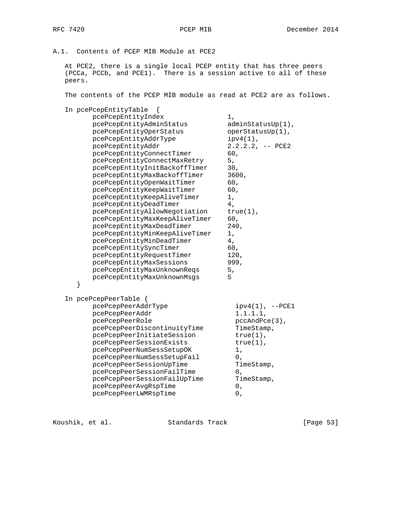# A.1. Contents of PCEP MIB Module at PCE2

 At PCE2, there is a single local PCEP entity that has three peers (PCCa, PCCb, and PCE1). There is a session active to all of these peers.

The contents of the PCEP MIB module as read at PCE2 are as follows.

| In pcePcepEntityTable<br>pcePcepEntityIndex<br>pcePcepEntityAdminStatus<br>pcePcepEntityOperStatus<br>pcePcepEntityAddrType<br>pcePcepEntityAddr<br>pcePcepEntityConnectTimer<br>pcePcepEntityConnectMaxRetry<br>pcePcepEntityInitBackoffTimer<br>pcePcepEntityMaxBackoffTimer<br>pcePcepEntityOpenWaitTimer<br>pcePcepEntityKeepWaitTimer<br>pcePcepEntityKeepAliveTimer<br>pcePcepEntityDeadTimer<br>pcePcepEntityAllowNegotiation<br>pcePcepEntityMaxKeepAliveTimer<br>pcePcepEntityMaxDeadTimer<br>pcePcepEntityMinKeepAliveTimer<br>pcePcepEntityMinDeadTimer<br>pcePcepEntitySyncTimer<br>pcePcepEntityRequestTimer<br>pcePcepEntityMaxSessions<br>pcePcepEntityMaxUnknownReqs<br>pcePcepEntityMaxUnknownMsgs<br>} | $1$ ,<br>adminStatusUp(1),<br>operStatusUp(1),<br>$ipv4(1)$ ,<br>$2.2.2.2$ , $-$ PCE2<br>60,<br>5,<br>30,<br>3600,<br>60,<br>60,<br>1,<br>4 <sub>1</sub><br>$true(1)$ ,<br>60,<br>240,<br>1,<br>4,<br>60,<br>120,<br>999,<br>5,<br>5 |
|--------------------------------------------------------------------------------------------------------------------------------------------------------------------------------------------------------------------------------------------------------------------------------------------------------------------------------------------------------------------------------------------------------------------------------------------------------------------------------------------------------------------------------------------------------------------------------------------------------------------------------------------------------------------------------------------------------------------------|--------------------------------------------------------------------------------------------------------------------------------------------------------------------------------------------------------------------------------------|
| In pcePcepPeerTable $\{$<br>pcePcepPeerAddrType<br>pcePcepPeerAddr<br>pcePcepPeerRole<br>pcePcepPeerDiscontinuityTime<br>pcePcepPeerInitiateSession<br>pcePcepPeerSessionExists<br>pcePcepPeerNumSessSetupOK<br>pcePcepPeerNumSessSetupFail<br>pcePcepPeerSessionUpTime<br>pcePcepPeerSessionFailTime<br>pcePcepPeerSessionFailUpTime<br>pcePcepPeerAvgRspTime<br>pcePcepPeerLWMRspTime                                                                                                                                                                                                                                                                                                                                  | $ipv4(1)$ , $--PCE1$<br>$1.1.1.1$ ,<br>$pccAndPce(3)$ ,<br>TimeStamp,<br>$true(1)$ ,<br>$true(1)$ ,<br>1,<br>0,<br>TimeStamp,<br>0,<br>TimeStamp,<br>0,<br>0,                                                                        |

Koushik, et al. Standards Track [Page 53]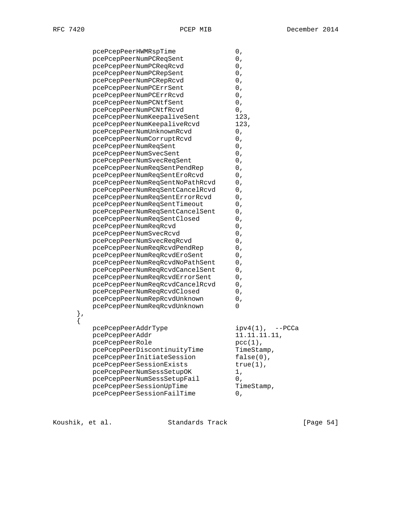| pcePcepPeerHWMRspTime           | 0,                      |
|---------------------------------|-------------------------|
| pcePcepPeerNumPCReqSent         | 0,                      |
| pcePcepPeerNumPCReqRcvd         | 0,                      |
| pcePcepPeerNumPCRepSent         | 0,                      |
| pcePcepPeerNumPCRepRcvd         | 0,                      |
| pcePcepPeerNumPCErrSent         | 0,                      |
| pcePcepPeerNumPCErrRcvd         | 0,                      |
| pcePcepPeerNumPCNtfSent         | 0,                      |
| pcePcepPeerNumPCNtfRcvd         | 0,                      |
| pcePcepPeerNumKeepaliveSent     | 123,                    |
| pcePcepPeerNumKeepaliveRcvd     | 123,                    |
| pcePcepPeerNumUnknownRcvd       | 0,                      |
| pcePcepPeerNumCorruptRcvd       | 0,                      |
| pcePcepPeerNumReqSent           | 0,                      |
| pcePcepPeerNumSvecSent          | 0,                      |
| pcePcepPeerNumSvecReqSent       | 0,                      |
| pcePcepPeerNumReqSentPendRep    | 0,                      |
| pcePcepPeerNumReqSentEroRcvd    | 0,                      |
| pcePcepPeerNumReqSentNoPathRcvd | 0,                      |
| pcePcepPeerNumReqSentCancelRcvd | 0,                      |
| pcePcepPeerNumReqSentErrorRcvd  | 0,                      |
| pcePcepPeerNumReqSentTimeout    | 0,                      |
| pcePcepPeerNumReqSentCancelSent | 0,                      |
| pcePcepPeerNumReqSentClosed     | 0,                      |
| pcePcepPeerNumReqRcvd           | 0,                      |
| pcePcepPeerNumSvecRcvd          | 0,                      |
| pcePcepPeerNumSvecReqRcvd       | 0,                      |
| pcePcepPeerNumReqRcvdPendRep    | 0,                      |
| pcePcepPeerNumReqRcvdEroSent    | 0,                      |
| pcePcepPeerNumReqRcvdNoPathSent | 0,                      |
| pcePcepPeerNumReqRcvdCancelSent | 0,                      |
| pcePcepPeerNumReqRcvdErrorSent  | 0,                      |
| pcePcepPeerNumReqRcvdCancelRcvd | 0,                      |
| pcePcepPeerNumReqRcvdClosed     | 0,                      |
| pcePcepPeerNumRepRcvdUnknown    | 0,                      |
| pcePcepPeerNumReqRcvdUnknown    | 0                       |
|                                 |                         |
|                                 |                         |
| pcePcepPeerAddrType             | $ipv4(1)$ ,<br>$--PCCa$ |
| pcePcepPeerAddr                 | 11.11.11.11,            |
| pcePcepPeerRole                 | $pcc(1)$ ,              |
| pcePcepPeerDiscontinuityTime    | TimeStamp,              |
| pcePcepPeerInitiateSession      | $false(0)$ ,            |
| pcePcepPeerSessionExists        | $true(1)$ ,             |
| pcePcepPeerNumSessSetupOK       | 1,                      |
| pcePcepPeerNumSessSetupFail     | 0,                      |
| pcePcepPeerSessionUpTime        | TimeStamp,              |
| pcePcepPeerSessionFailTime      | 0,                      |
|                                 |                         |

Koushik, et al. Standards Track [Page 54]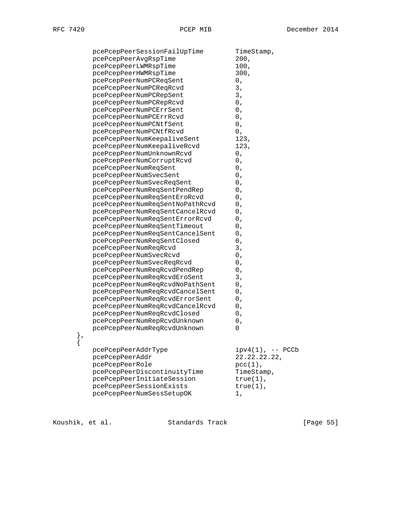|    | pcePcepPeerSessionFailUpTime                       | TimeStamp,          |
|----|----------------------------------------------------|---------------------|
|    | pcePcepPeerAvgRspTime                              | 200.                |
|    | pcePcepPeerLWMRspTime                              | 100,                |
|    | pcePcepPeerHWMRspTime                              | 300,                |
|    | pcePcepPeerNumPCReqSent                            | 0,                  |
|    | pcePcepPeerNumPCReqRcvd                            | 3,                  |
|    |                                                    | 3,                  |
|    | pcePcepPeerNumPCRepSent<br>pcePcepPeerNumPCRepRcvd | 0,                  |
|    |                                                    | 0,                  |
|    | pcePcepPeerNumPCErrSent                            | 0,                  |
|    | pcePcepPeerNumPCErrRcvd                            | 0,                  |
|    | pcePcepPeerNumPCNtfSent                            | 0,                  |
|    | pcePcepPeerNumPCNtfRcvd                            | 123,                |
|    | pcePcepPeerNumKeepaliveSent                        |                     |
|    | pcePcepPeerNumKeepaliveRcvd                        | 123,                |
|    | pcePcepPeerNumUnknownRcvd                          | 0,                  |
|    | pcePcepPeerNumCorruptRcvd                          | 0,                  |
|    | pcePcepPeerNumReqSent                              | 0,                  |
|    | pcePcepPeerNumSvecSent                             | 0,                  |
|    | pcePcepPeerNumSvecReqSent                          | 0,                  |
|    | pcePcepPeerNumReqSentPendRep                       | 0,                  |
|    | pcePcepPeerNumReqSentEroRcvd                       | 0,                  |
|    | pcePcepPeerNumReqSentNoPathRcvd                    | 0,                  |
|    | pcePcepPeerNumReqSentCancelRcvd                    | 0,                  |
|    | pcePcepPeerNumReqSentErrorRcvd                     | 0,                  |
|    | pcePcepPeerNumReqSentTimeout                       | 0,                  |
|    | pcePcepPeerNumReqSentCancelSent                    | 0,                  |
|    | pcePcepPeerNumReqSentClosed                        | 0,                  |
|    | pcePcepPeerNumReqRcvd                              | 3,                  |
|    | pcePcepPeerNumSvecRcvd                             | 0,                  |
|    | pcePcepPeerNumSvecReqRcvd                          | 0,                  |
|    | pcePcepPeerNumReqRcvdPendRep                       | 0,                  |
|    | pcePcepPeerNumReqRcvdEroSent                       | 3,                  |
|    | pcePcepPeerNumReqRcvdNoPathSent                    | 0,                  |
|    | pcePcepPeerNumReqRcvdCancelSent                    | 0,                  |
|    | pcePcepPeerNumReqRcvdErrorSent                     | 0,                  |
|    | pcePcepPeerNumReqRcvdCancelRcvd                    | 0,                  |
|    | pcePcepPeerNumReqRcvdClosed                        | 0 <sub>1</sub>      |
|    | pcePcepPeerNumRepRcvdUnknown                       | 0,                  |
|    | pcePcepPeerNumReqRcvdUnknown                       | 0                   |
| }, |                                                    |                     |
| {  |                                                    |                     |
|    | pcePcepPeerAddrType                                | $ipy4(1)$ , -- PCCb |
|    | pcePcepPeerAddr                                    | 22.22.22.22,        |
|    | pcePcepPeerRole                                    | $pcc(1)$ ,          |
|    | pcePcepPeerDiscontinuityTime                       | TimeStamp,          |
|    | pcePcepPeerInitiateSession                         | $true(1)$ ,         |
|    | pcePcepPeerSessionExists                           | $true(1)$ ,         |
|    | pcePcepPeerNumSessSetupOK                          | 1,                  |
|    |                                                    |                     |

Koushik, et al. Standards Track [Page 55]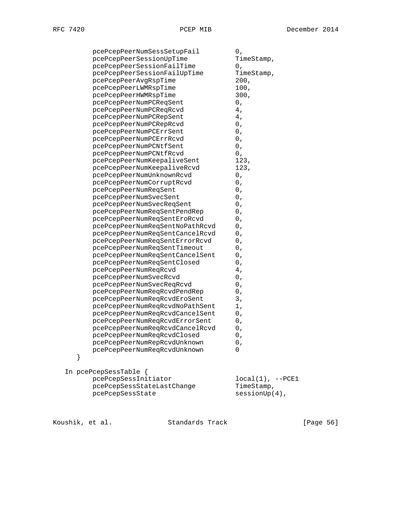|   | pcePcepPeerNumSessSetupFail     | 0,                    |
|---|---------------------------------|-----------------------|
|   | pcePcepPeerSessionUpTime        | TimeStamp,            |
|   | pcePcepPeerSessionFailTime      | $0\ ,$                |
|   | pcePcepPeerSessionFailUpTime    | TimeStamp,            |
|   | pcePcepPeerAvgRspTime           | 200,                  |
|   | pcePcepPeerLWMRspTime           | 100,                  |
|   | pcePcepPeerHWMRspTime           | 300,                  |
|   | pcePcepPeerNumPCReqSent         | 0,                    |
|   | pcePcepPeerNumPCReqRcvd         | 4,                    |
|   | pcePcepPeerNumPCRepSent         | 4,                    |
|   | pcePcepPeerNumPCRepRcvd         | $0\ ,$                |
|   | pcePcepPeerNumPCErrSent         | $0\ ,$                |
|   | pcePcepPeerNumPCErrRcvd         | 0,                    |
|   | pcePcepPeerNumPCNtfSent         | 0,                    |
|   | pcePcepPeerNumPCNtfRcvd         | 0,                    |
|   | pcePcepPeerNumKeepaliveSent     | 123,                  |
|   | pcePcepPeerNumKeepaliveRcvd     | 123,                  |
|   | pcePcepPeerNumUnknownRcvd       | 0,                    |
|   | pcePcepPeerNumCorruptRcvd       | 0,                    |
|   | pcePcepPeerNumReqSent           | 0,                    |
|   | pcePcepPeerNumSvecSent          | $0\ ,$                |
|   | pcePcepPeerNumSvecReqSent       | 0,                    |
|   | pcePcepPeerNumReqSentPendRep    | 0,                    |
|   | pcePcepPeerNumReqSentEroRcvd    | 0,                    |
|   | pcePcepPeerNumReqSentNoPathRcvd | 0,                    |
|   | pcePcepPeerNumReqSentCancelRcvd | 0,                    |
|   | pcePcepPeerNumReqSentErrorRcvd  | 0,                    |
|   | pcePcepPeerNumReqSentTimeout    | 0,                    |
|   | pcePcepPeerNumReqSentCancelSent | 0,                    |
|   | pcePcepPeerNumReqSentClosed     | 0,                    |
|   | pcePcepPeerNumReqRcvd           | 4,                    |
|   | pcePcepPeerNumSvecRcvd          | 0,                    |
|   | pcePcepPeerNumSvecReqRcvd       | $0\ ,$                |
|   | pcePcepPeerNumReqRcvdPendRep    | 0,                    |
|   | pcePcepPeerNumReqRcvdEroSent    | 3,                    |
|   | pcePcepPeerNumReqRcvdNoPathSent | 1,                    |
|   | pcePcepPeerNumReqRcvdCancelSent | 0,                    |
|   | pcePcepPeerNumReqRcvdErrorSent  | $0\ ,$                |
|   | pcePcepPeerNumReqRcvdCancelRcvd | 0,                    |
|   | pcePcepPeerNumReqRcvdClosed     | 0,                    |
|   | pcePcepPeerNumRepRcvdUnknown    | Ο,                    |
|   | pcePcepPeerNumReqRcvdUnknown    | 0                     |
| } |                                 |                       |
|   | In pcePcepSessTable {           |                       |
|   | pcePcepSessInitiator            | $local(1)$ , $--PCE1$ |
|   | pcePcepSessStateLastChange      | TimeStamp,            |
|   | pcePcepSessState                | $sessionUp(4)$ ,      |
|   |                                 |                       |

Koushik, et al. Standards Track [Page 56]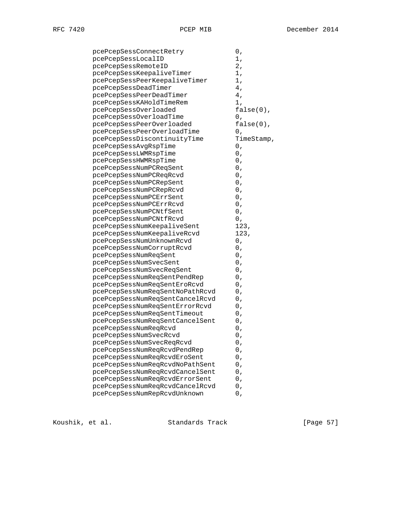|--|

| pcePcepSessConnectRetry         | 0,           |
|---------------------------------|--------------|
| pcePcepSessLocalID              | 1,           |
| pcePcepSessRemoteID             | 2,           |
| pcePcepSessKeepaliveTimer       | 1,           |
| pcePcepSessPeerKeepaliveTimer   | 1,           |
| pcePcepSessDeadTimer            | 4,           |
| pcePcepSessPeerDeadTimer        | 4,           |
| pcePcepSessKAHoldTimeRem        | 1,           |
| pcePcepSessOverloaded           | $false(0)$ , |
| pcePcepSessOverloadTime         | 0,           |
| pcePcepSessPeerOverloaded       | $false(0)$ , |
| pcePcepSessPeerOverloadTime     | 0,           |
| pcePcepSessDiscontinuityTime    | TimeStamp,   |
| pcePcepSessAvgRspTime           | 0,           |
| pcePcepSessLWMRspTime           | 0,           |
| pcePcepSessHWMRspTime           | 0,           |
| pcePcepSessNumPCReqSent         | 0,           |
| pcePcepSessNumPCReqRcvd         | 0,           |
| pcePcepSessNumPCRepSent         | 0,           |
| pcePcepSessNumPCRepRcvd         | 0,           |
| pcePcepSessNumPCErrSent         | 0,           |
| pcePcepSessNumPCErrRcvd         | 0,           |
| pcePcepSessNumPCNtfSent         | 0,           |
| pcePcepSessNumPCNtfRcvd         | 0,           |
| pcePcepSessNumKeepaliveSent     | 123,         |
| pcePcepSessNumKeepaliveRcvd     | 123,         |
| pcePcepSessNumUnknownRcvd       | 0,           |
| pcePcepSessNumCorruptRcvd       | 0,           |
| pcePcepSessNumReqSent           | 0,           |
| pcePcepSessNumSvecSent          | 0,           |
| pcePcepSessNumSvecReqSent       | 0,           |
| pcePcepSessNumReqSentPendRep    | 0,           |
| pcePcepSessNumReqSentEroRcvd    | 0,           |
| pcePcepSessNumReqSentNoPathRcvd | 0,           |
| pcePcepSessNumReqSentCancelRcvd | 0,           |
| pcePcepSessNumReqSentErrorRcvd  | 0,           |
| pcePcepSessNumReqSentTimeout    | 0,           |
| pcePcepSessNumReqSentCancelSent | 0,           |
| pcePcepSessNumReqRcvd           | 0,           |
| pcePcepSessNumSvecRcvd          | 0,           |
| pcePcepSessNumSvecReqRcvd       | 0,           |
| pcePcepSessNumReqRcvdPendRep    | $0\ ,$       |
| pcePcepSessNumReqRcvdEroSent    | 0,           |
| pcePcepSessNumReqRcvdNoPathSent | 0,           |
| pcePcepSessNumReqRcvdCancelSent | 0,           |
| pcePcepSessNumReqRcvdErrorSent  | 0,           |
| pcePcepSessNumReqRcvdCancelRcvd | 0,           |
| pcePcepSessNumRepRcvdUnknown    | 0,           |
|                                 |              |

Koushik, et al. Standards Track [Page 57]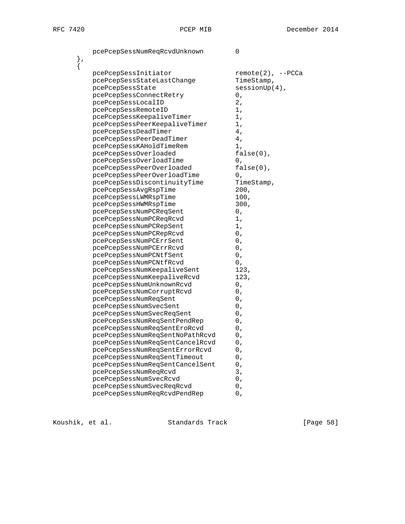pcePcepSessNumReqRcvdUnknown 0 },  $\{$ pcePcepSessInitiator remote(2), --PCCa pcePcepSessStateLastChange TimeStamp, pcePcepSessState sessionUp(4), pcePcepSessConnectRetry 0, pcePcepSessLocalID 2, pcePcepSessRemoteID 1, pcePcepSessKeepaliveTimer 1,<br>ncePcepSessPeerKeepaliveTimer 1, pcePcepSessPeerKeepaliveTimer pcePcepSessDeadTimer 4, pcePcepSessPeerDeadTimer 4, pcePcepSessKAHoldTimeRem 1, pcePcepSessOverloaded false(0), pcePcepSessOverloadTime 0,<br>pcePcepSessPeerOverloaded false(0), pcePcepSessPeerOverloaded pcePcepSessPeerOverloadTime 0, pcePcepSessDiscontinuityTime TimeStamp, pcePcepSessAvgRspTime 200, pcePcepSessLWMRspTime 100, pcePcepSessHWMRspTime 300,<br>
pcePcepSessNumPCReqSent 0, pcePcepSessNumPCReqSent 0,<br>
noePcepSessNumPCReqRcvd 1, pcePcepSessNumPCReqRcvd 1,<br>pcePcepSessNumPCRepSent 1, pcePcepSessNumPCRepSent 1, pcePcepSessNumPCRepRcvd 0,<br>
pcePcepSessNumPCErrSent 0, pcePcepSessNumPCErrSent 0, pcePcepSessNumPCErrRcvd 0,<br>
pcePcepSessNumPCNtfSent 0, pcercepoconsium v==<br>pcePcepSessNumPCNtfSent 0,<br>ncePcepSessNumPCNtfRcvd 0, pcePcepSessNumPCNtfRcvd 0, pcePcepSessNumKeepaliveSent 123, pcePcepSessNumKeepaliveRcvd 123, pcePcepSessNumUnknownRcvd 0, pcePcepSessNumCorruptRcvd 0,<br>
pcePcepSessNumReqSent 0, pcePcepSessNumReqSent 0, pcePcepSessNumSvecSent 0, pcePcepSessNumSvecReqSent 0, pcePcepSessNumReqSentPendRep 0, pcePcepSessNumReqSentEroRcvd 0, pcePcepSessNumReqSentNoPathRcvd 0,<br>pcePcepSessNumReqSentCancelRcvd 0, pcePcepSessNumReqSentCancelRcvd 0,<br>
pcePcepSessNumReqSentErrorRcvd 0, pcePcepSessNumReqSentErrorRcvd 0,<br>pcePcepSessNumReqSentTimeout 0, pcePcepSessNumReqSentTimeout 0, pcePcepSessNumReqSentCancelSent 0, pcePcepSessNumReqRcvd 3, pcePcepSessNumSvecRcvd 0,

pcePcepSessNumSvecReqRcvd 0, pcePcepSessNumReqRcvdPendRep 0,

Koushik, et al. Standards Track [Paqe 58]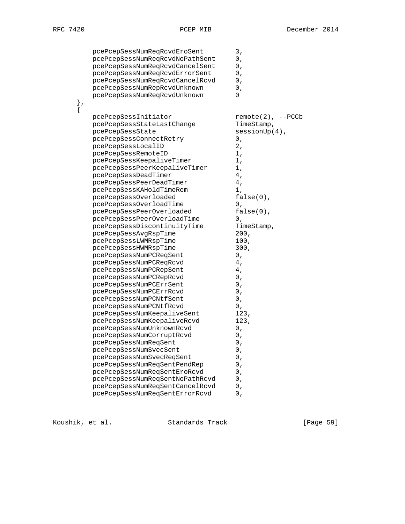| pcePcepSessNumReqRcvdEroSent    | 3,                  |
|---------------------------------|---------------------|
| pcePcepSessNumReqRcvdNoPathSent | $0\ ,$              |
| pcePcepSessNumReqRcvdCancelSent | 0,                  |
| pcePcepSessNumReqRcvdErrorSent  | 0,                  |
| pcePcepSessNumReqRcvdCancelRcvd | 0,                  |
| pcePcepSessNumRepRcvdUnknown    | 0,                  |
| pcePcepSessNumReqRcvdUnknown    | 0                   |
| },                              |                     |
| {                               |                     |
| pcePcepSessInitiator            | $remote(2), --PCCb$ |
| pcePcepSessStateLastChange      | TimeStamp,          |
| pcePcepSessState                | $sensionUp(4)$ ,    |
| pcePcepSessConnectRetry         | 0,                  |
| pcePcepSessLocalID              | 2,                  |
| pcePcepSessRemoteID             | 1,                  |
| pcePcepSessKeepaliveTimer       | 1,                  |
| pcePcepSessPeerKeepaliveTimer   | 1,                  |
| pcePcepSessDeadTimer            | 4,                  |
| pcePcepSessPeerDeadTimer        | 4,                  |
| pcePcepSessKAHoldTimeRem        | 1,                  |
| pcePcepSessOverloaded           | $false(0)$ ,        |
| pcePcepSessOverloadTime         | 0,                  |
| pcePcepSessPeerOverloaded       | $false(0)$ ,        |
| pcePcepSessPeerOverloadTime     | 0,                  |
| pcePcepSessDiscontinuityTime    | TimeStamp,          |
| pcePcepSessAvgRspTime           | 200,                |
| pcePcepSessLWMRspTime           | 100,                |
| pcePcepSessHWMRspTime           | 300,                |
| pcePcepSessNumPCReqSent         | 0,                  |
| pcePcepSessNumPCReqRcvd         | 4,                  |
| pcePcepSessNumPCRepSent         | 4,                  |
| pcePcepSessNumPCRepRcvd         | 0,                  |
| pcePcepSessNumPCErrSent         | 0,                  |
| pcePcepSessNumPCErrRcvd         | 0,                  |
| pcePcepSessNumPCNtfSent         | 0,                  |
| pcePcepSessNumPCNtfRcvd         | 0,                  |
| pcePcepSessNumKeepaliveSent     | 123,                |
| pcePcepSessNumKeepaliveRcvd     | 123,                |
| pcePcepSessNumUnknownRcvd       | 0,                  |
| pcePcepSessNumCorruptRcvd       | 0,                  |
| pcePcepSessNumReqSent           | $0\,$ ,             |
| pcePcepSessNumSvecSent          | 0,                  |
| pcePcepSessNumSvecReqSent       | 0,                  |
| pcePcepSessNumReqSentPendRep    | 0,                  |
| pcePcepSessNumReqSentEroRcvd    | 0,                  |
| pcePcepSessNumReqSentNoPathRcvd | 0,                  |
| pcePcepSessNumReqSentCancelRcvd | 0,                  |
| pcePcepSessNumReqSentErrorRcvd  | 0,                  |
|                                 |                     |

Koushik, et al. Standards Track [Page 59]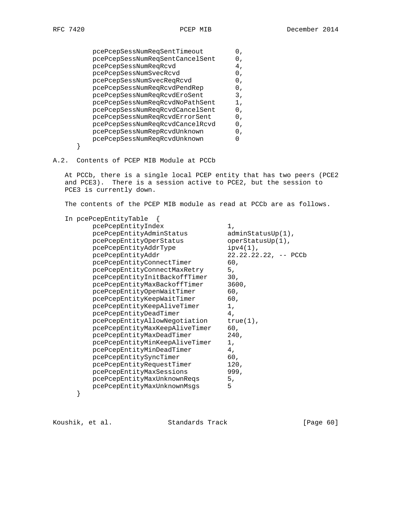| pcePcepSessNumReqSentTimeout    | 0 <sub>r</sub> |
|---------------------------------|----------------|
| pcePcepSessNumReqSentCancelSent | Ο,             |
| pcePcepSessNumReqRcvd           | 4,             |
| pcePcepSessNumSvecRcvd          | 0,             |
| pcePcepSessNumSvecReqRcvd       | 0,             |
| pcePcepSessNumReqRcvdPendRep    | 0.             |
| pcePcepSessNumReqRcvdEroSent    | 3,             |
| pcePcepSessNumReqRcvdNoPathSent | 1,             |
| pcePcepSessNumReqRcvdCancelSent | 0,             |
| pcePcepSessNumReqRcvdErrorSent  | 0.             |
| pcePcepSessNumReqRcvdCancelRcvd | Ο,             |
| pcePcepSessNumRepRcvdUnknown    | 0.             |
| pcePcepSessNumReqRcvdUnknown    |                |
|                                 |                |
|                                 |                |

## A.2. Contents of PCEP MIB Module at PCCb

 At PCCb, there is a single local PCEP entity that has two peers (PCE2 and PCE3). There is a session active to PCE2, but the session to PCE3 is currently down.

The contents of the PCEP MIB module as read at PCCb are as follows.

| In pcePcepEntityTable          |                         |
|--------------------------------|-------------------------|
| pcePcepEntityIndex             | 1,                      |
| pcePcepEntityAdminStatus       | $adminStatusUp(1)$ ,    |
| pcePcepEntityOperStatus        | $operatorStatusUp(1)$ , |
| pcePcepEntityAddrType          | $ipv4(1)$ ,             |
| pcePcepEntityAddr              | $22.22.22.22, --$ PCCb  |
| pcePcepEntityConnectTimer      | 60.                     |
| pcePcepEntityConnectMaxRetry   | 5,                      |
| pcePcepEntityInitBackoffTimer  | 30 <sub>1</sub>         |
| pcePcepEntityMaxBackoffTimer   | 3600,                   |
| pcePcepEntityOpenWaitTimer     | 60,                     |
| pcePcepEntityKeepWaitTimer     | 60,                     |
| pcePcepEntityKeepAliveTimer    | 1,                      |
| pcePcepEntityDeadTimer         | 4,                      |
| pcePcepEntityAllowNegotiation  | $true(1)$ ,             |
| pcePcepEntityMaxKeepAliveTimer | 60,                     |
| pcePcepEntityMaxDeadTimer      | 240,                    |
| pcePcepEntityMinKeepAliveTimer | 1,                      |
| pcePcepEntityMinDeadTimer      | 4 <sub>1</sub>          |
| pcePcepEntitySyncTimer         | 60,                     |
| pcePcepEntityRequestTimer      | 120,                    |
| pcePcepEntityMaxSessions       | 999.                    |
| pcePcepEntityMaxUnknownReqs    | 5,                      |
| pcePcepEntityMaxUnknownMsqs    | 5                       |
|                                |                         |

}

Koushik, et al. Standards Track [Page 60]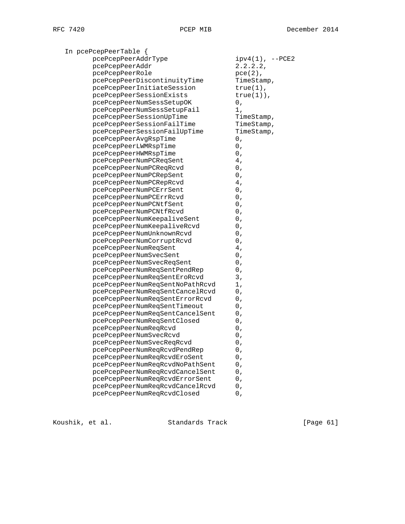| In pcePcepPeerTable {           |                     |
|---------------------------------|---------------------|
| pcePcepPeerAddrType             | $ipv4(1)$ , $-PCE2$ |
| pcePcepPeerAddr                 | 2.2.2.2             |
| pcePcepPeerRole                 | $pec(2)$ ,          |
| pcePcepPeerDiscontinuityTime    | TimeStamp,          |
| pcePcepPeerInitiateSession      | $true(1)$ ,         |
| pcePcepPeerSessionExists        | $true(1)$ ,         |
| pcePcepPeerNumSessSetupOK       | 0,                  |
| pcePcepPeerNumSessSetupFail     | 1,                  |
| pcePcepPeerSessionUpTime        | TimeStamp,          |
| pcePcepPeerSessionFailTime      | TimeStamp,          |
| pcePcepPeerSessionFailUpTime    | TimeStamp,          |
| pcePcepPeerAvgRspTime           | 0,                  |
| pcePcepPeerLWMRspTime           | 0,                  |
| pcePcepPeerHWMRspTime           | 0,                  |
| pcePcepPeerNumPCReqSent         | 4,                  |
| pcePcepPeerNumPCReqRcvd         | 0,                  |
| pcePcepPeerNumPCRepSent         | 0,                  |
| pcePcepPeerNumPCRepRcvd         | 4,                  |
| pcePcepPeerNumPCErrSent         | 0,                  |
| pcePcepPeerNumPCErrRcvd         | 0,                  |
| pcePcepPeerNumPCNtfSent         | 0,                  |
| pcePcepPeerNumPCNtfRcvd         | 0,                  |
| pcePcepPeerNumKeepaliveSent     | 0,                  |
| pcePcepPeerNumKeepaliveRcvd     | 0,                  |
| pcePcepPeerNumUnknownRcvd       | 0,                  |
| pcePcepPeerNumCorruptRcvd       | 0,                  |
| pcePcepPeerNumReqSent           | 4,                  |
| pcePcepPeerNumSvecSent          | 0,                  |
| pcePcepPeerNumSvecReqSent       | 0,                  |
| pcePcepPeerNumReqSentPendRep    | 0,                  |
| pcePcepPeerNumReqSentEroRcvd    | 3,                  |
| pcePcepPeerNumReqSentNoPathRcvd | 1,                  |
| pcePcepPeerNumReqSentCancelRcvd | 0,                  |
| pcePcepPeerNumReqSentErrorRcvd  | 0,                  |
| pcePcepPeerNumReqSentTimeout    | 0,                  |
| pcePcepPeerNumReqSentCancelSent | 0,                  |
| pcePcepPeerNumReqSentClosed     | 0,                  |
| pcePcepPeerNumReqRcvd           | 0,                  |
| pcePcepPeerNumSvecRcvd          | 0,                  |
| pcePcepPeerNumSvecReqRcvd       | 0,                  |
| pcePcepPeerNumReqRcvdPendRep    | 0,                  |
| pcePcepPeerNumReqRcvdEroSent    | 0,                  |
| pcePcepPeerNumReqRcvdNoPathSent | 0,                  |
| pcePcepPeerNumReqRcvdCancelSent | $0\ ,$              |
| pcePcepPeerNumReqRcvdErrorSent  | 0,                  |
| pcePcepPeerNumReqRcvdCancelRcvd | 0,                  |
| pcePcepPeerNumReqRcvdClosed     | 0,                  |
|                                 |                     |

Koushik, et al. Standards Track [Page 61]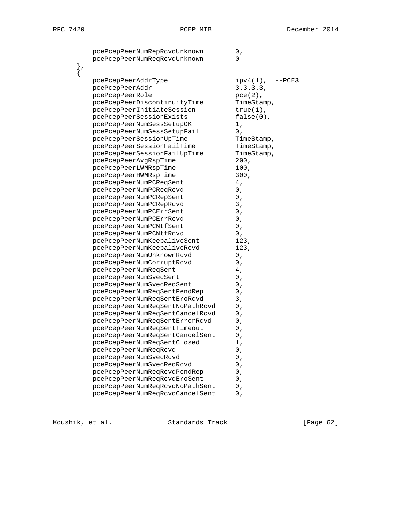| pcePcepPeerNumRepRcvdUnknown<br>pcePcepPeerNumReqRcvdUnknown | 0,<br>0               |
|--------------------------------------------------------------|-----------------------|
|                                                              |                       |
| pcePcepPeerAddrType                                          | $ipv4(1)$ ,<br>--PCE3 |
| pcePcepPeerAddr                                              | 3.3.3.3.              |
| pcePcepPeerRole                                              | $pec(2)$ ,            |
| pcePcepPeerDiscontinuityTime                                 | TimeStamp,            |
| pcePcepPeerInitiateSession                                   | $true(1)$ ,           |
| pcePcepPeerSessionExists                                     | $false(0)$ ,          |
| pcePcepPeerNumSessSetupOK                                    | 1,                    |
| pcePcepPeerNumSessSetupFail                                  | 0,                    |
| pcePcepPeerSessionUpTime                                     | TimeStamp,            |
| pcePcepPeerSessionFailTime                                   | TimeStamp,            |
| pcePcepPeerSessionFailUpTime                                 | TimeStamp,            |
| pcePcepPeerAvgRspTime                                        | 200,                  |
| pcePcepPeerLWMRspTime                                        | 100,                  |
| pcePcepPeerHWMRspTime                                        | 300,                  |
| pcePcepPeerNumPCReqSent                                      | 4,                    |
| pcePcepPeerNumPCReqRcvd                                      | 0,                    |
| pcePcepPeerNumPCRepSent                                      | 0,                    |
| pcePcepPeerNumPCRepRcvd<br>pcePcepPeerNumPCErrSent           | 3,<br>0,              |
| pcePcepPeerNumPCErrRcvd                                      | 0,                    |
| pcePcepPeerNumPCNtfSent                                      | 0,                    |
| pcePcepPeerNumPCNtfRcvd                                      | 0,                    |
| pcePcepPeerNumKeepaliveSent                                  | 123,                  |
| pcePcepPeerNumKeepaliveRcvd                                  | 123,                  |
| pcePcepPeerNumUnknownRcvd                                    | 0,                    |
| pcePcepPeerNumCorruptRcvd                                    | 0,                    |
| pcePcepPeerNumReqSent                                        | 4,                    |
| pcePcepPeerNumSvecSent                                       | 0,                    |
| pcePcepPeerNumSvecReqSent                                    | 0,                    |
| pcePcepPeerNumReqSentPendRep                                 | 0,                    |
| pcePcepPeerNumReqSentEroRcvd                                 | 3,                    |
| pcePcepPeerNumReqSentNoPathRcvd                              | 0,                    |
| pcePcepPeerNumReqSentCancelRcvd                              | 0,                    |
| pcePcepPeerNumReqSentErrorRcvd                               | 0,                    |
| pcePcepPeerNumReqSentTimeout                                 | 0,                    |
| pcePcepPeerNumReqSentCancelSent                              | 0,                    |
| pcePcepPeerNumReqSentClosed                                  | 1,                    |
| pcePcepPeerNumReqRcvd                                        | $0\ ,$                |
| pcePcepPeerNumSvecRcvd                                       | 0,                    |
| pcePcepPeerNumSvecReqRcvd                                    | 0,                    |
| pcePcepPeerNumReqRcvdPendRep                                 | 0,                    |
| pcePcepPeerNumReqRcvdEroSent                                 | 0,                    |
| pcePcepPeerNumReqRcvdNoPathSent                              | 0,                    |
| pcePcepPeerNumReqRcvdCancelSent                              | 0,                    |
|                                                              |                       |

Koushik, et al. Standards Track [Page 62]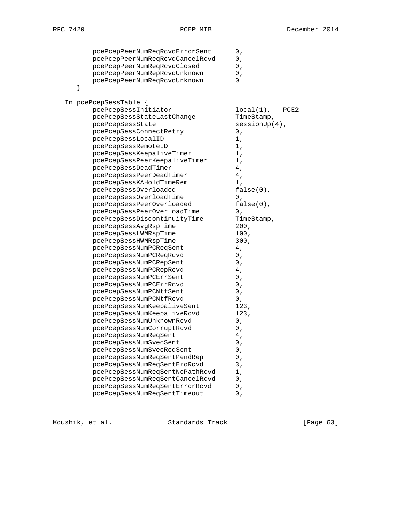| pcePcepPeerNumReqRcvdErrorSent<br>pcePcepPeerNumReqRcvdCancelRcvd<br>pcePcepPeerNumReqRcvdClosed<br>pcePcepPeerNumRepRcvdUnknown<br>pcePcepPeerNumReqRcvdUnknown<br>} | 0,<br>0,<br>0,<br>0,<br>0 |
|-----------------------------------------------------------------------------------------------------------------------------------------------------------------------|---------------------------|
|                                                                                                                                                                       |                           |
| In pcePcepSessTable {<br>pcePcepSessInitiator                                                                                                                         | $local(1)$ , $--PCE2$     |
| pcePcepSessStateLastChange                                                                                                                                            | TimeStamp,                |
| pcePcepSessState                                                                                                                                                      | $sensionUp(4)$ ,          |
| pcePcepSessConnectRetry                                                                                                                                               | 0,                        |
| pcePcepSessLocalID                                                                                                                                                    | 1,                        |
| pcePcepSessRemoteID                                                                                                                                                   | 1,                        |
| pcePcepSessKeepaliveTimer                                                                                                                                             | 1,                        |
| pcePcepSessPeerKeepaliveTimer                                                                                                                                         | 1,                        |
| pcePcepSessDeadTimer                                                                                                                                                  | 4,                        |
| pcePcepSessPeerDeadTimer                                                                                                                                              | 4,                        |
| pcePcepSessKAHoldTimeRem                                                                                                                                              | 1,                        |
| pcePcepSessOverloaded                                                                                                                                                 | $false(0)$ ,              |
| pcePcepSessOverloadTime                                                                                                                                               | 0,                        |
| pcePcepSessPeerOverloaded                                                                                                                                             | $false(0)$ ,              |
| pcePcepSessPeerOverloadTime                                                                                                                                           | 0,                        |
| pcePcepSessDiscontinuityTime                                                                                                                                          | TimeStamp,                |
| pcePcepSessAvgRspTime                                                                                                                                                 | 200,                      |
| pcePcepSessLWMRspTime                                                                                                                                                 | 100,                      |
| pcePcepSessHWMRspTime                                                                                                                                                 | 300,                      |
| pcePcepSessNumPCReqSent                                                                                                                                               | 4,                        |
| pcePcepSessNumPCReqRcvd                                                                                                                                               | 0,                        |
| pcePcepSessNumPCRepSent                                                                                                                                               | 0,                        |
| pcePcepSessNumPCRepRcvd                                                                                                                                               | 4,                        |
| pcePcepSessNumPCErrSent                                                                                                                                               | 0,                        |
| pcePcepSessNumPCErrRcvd                                                                                                                                               | 0,                        |
| pcePcepSessNumPCNtfSent                                                                                                                                               | 0,                        |
| pcePcepSessNumPCNtfRcvd                                                                                                                                               | 0,                        |
| pcePcepSessNumKeepaliveSent                                                                                                                                           | 123,                      |
| pcePcepSessNumKeepaliveRcvd                                                                                                                                           | 123,                      |
| pcePcepSessNumUnknownRcvd                                                                                                                                             | 0,                        |
| pcePcepSessNumCorruptRcvd<br>pcePcepSessNumReqSent                                                                                                                    | 0,<br>4,                  |
| pcePcepSessNumSvecSent                                                                                                                                                | $0\ ,$                    |
| pcePcepSessNumSvecReqSent                                                                                                                                             | 0,                        |
| pcePcepSessNumReqSentPendRep                                                                                                                                          | 0,                        |
| pcePcepSessNumReqSentEroRcvd                                                                                                                                          | 3,                        |
| pcePcepSessNumReqSentNoPathRcvd                                                                                                                                       | 1,                        |
| pcePcepSessNumReqSentCancelRcvd                                                                                                                                       | 0,                        |
| pcePcepSessNumReqSentErrorRcvd                                                                                                                                        | 0,                        |
| pcePcepSessNumReqSentTimeout                                                                                                                                          | 0,                        |
|                                                                                                                                                                       |                           |

Koushik, et al. Standards Track [Page 63]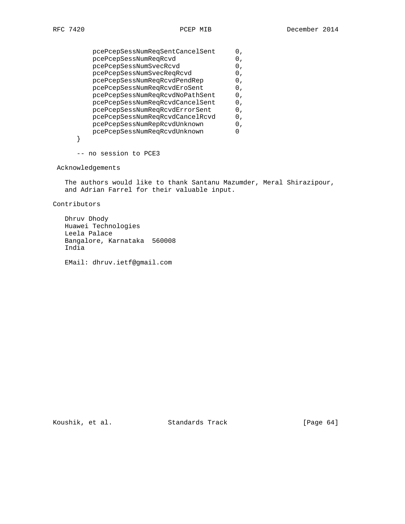| pcePcepSessNumReqSentCancelSent | Ο, |
|---------------------------------|----|
| pcePcepSessNumReqRcvd           | Ο, |
| pcePcepSessNumSvecRcvd          | Ο, |
| pcePcepSessNumSvecReqRcvd       | Ο, |
| pcePcepSessNumReqRcvdPendRep    | Ο, |
| pcePcepSessNumReqRcvdEroSent    | Ο, |
| pcePcepSessNumReqRcvdNoPathSent | 0, |
| pcePcepSessNumReqRcvdCancelSent | 0, |
| pcePcepSessNumReqRcvdErrorSent  | 0. |
| pcePcepSessNumReqRcvdCancelRcvd | 0. |
| pcePcepSessNumRepRcvdUnknown    | Ο. |
| pcePcepSessNumReqRcvdUnknown    |    |
|                                 |    |

-- no session to PCE3

# Acknowledgements

 The authors would like to thank Santanu Mazumder, Meral Shirazipour, and Adrian Farrel for their valuable input.

Contributors

 Dhruv Dhody Huawei Technologies Leela Palace Bangalore, Karnataka 560008 India

EMail: dhruv.ietf@gmail.com

Koushik, et al. Standards Track [Page 64]